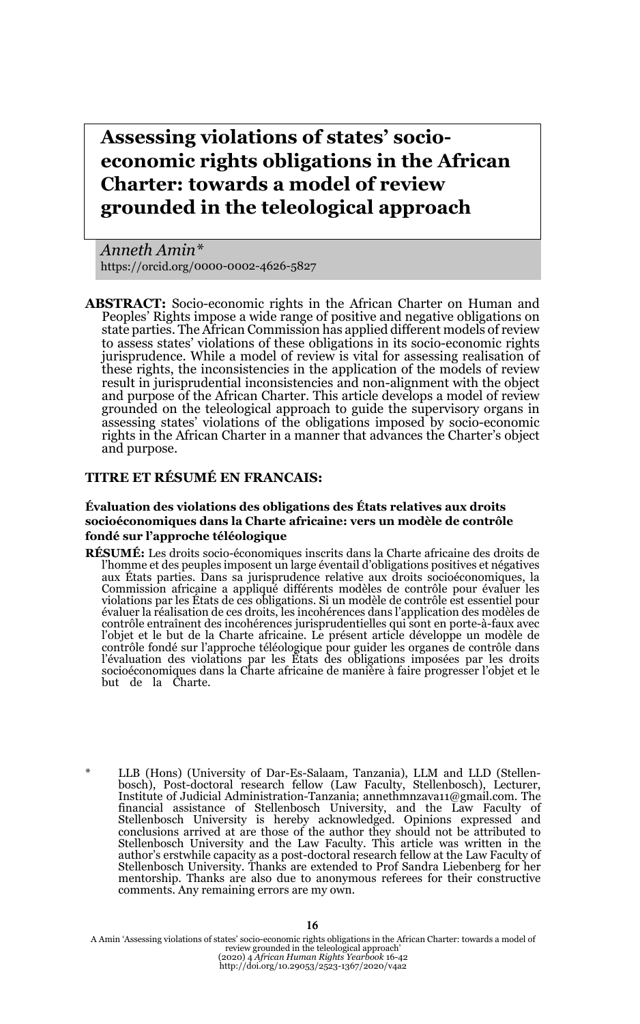**Assessing violations of states' socioeconomic rights obligations in the African Charter: towards a model of review grounded in the teleological approach**

*Anneth Amin\** https://orcid.org/0000-0002-4626-5827

**ABSTRACT:** Socio-economic rights in the African Charter on Human and Peoples' Rights impose a wide range of positive and negative obligations on state parties. The African Commission has applied different models of review to assess states' violations of these obligations in its socio-economic rights jurisprudence. While a model of review is vital for assessing realisation of these rights, the inconsistencies in the application of the models of review result in jurisprudential inconsistencies and non-alignment with the object and purpose of the African Charter. This article develops a model of review grounded on the teleological approach to guide the supervisory organs in assessing states' violations of the obligations imposed by socio-economic rights in the African Charter in a manner that advances the Charter's object and purpose.

### **TITRE ET RÉSUMÉ EN FRANCAIS:**

#### **Évaluation des violations des obligations des États relatives aux droits socioéconomiques dans la Charte africaine: vers un modèle de contrôle fondé sur l'approche téléologique**

- **RÉSUMÉ:** Les droits socio-économiques inscrits dans la Charte africaine des droits de aux États parties. Dans sa jurisprudence relative aux droits socioéconomiques, la Commission africaine a appliqué différents modèles de contrôle pour évaluer les<br>violations par les États de ces obligations. Si un modèle de contrôle est essentiel pour<br>évaluer la réalisation de ces droits, les incohérence contrôle entraînent des incohérences jurisprudentielles qui sont en porte-à-faux avec l'objet et le but de la Charte africaine. Le présent article développe un modèle de contrôle fondé sur l'approche téléologique pour guider les organes de contrôle dans l'évaluation des violations par les États des obligations imposées par les droits socioéconomiques dans la Charte africaine de manière à faire progresser l'objet et le but de la Charte.
- \* LLB (Hons) (University of Dar-Es-Salaam, Tanzania), LLM and LLD (Stellenbosch), Post-doctoral research fellow (Law Faculty, Stellenbosch), Lecturer, Institute of Judicial Administration-Tanzania; annethmnzava11@gmail.com. The financial assistance of Stellenbosch University, and the Law Faculty of Stellenbosch University is hereby acknowledged. Opinions expressed and<br>conclusions arrived at are those of the author they should not be attributed to<br>Stellenbosch University and the Law Faculty. This article was written i author's erstwhile capacity as a post-doctoral research fellow at the Law Faculty of Stellenbosch University. Thanks are extended to Prof Sandra Liebenberg for her mentorship. Thanks are also due to anonymous referees for their constructive comments. Any remaining errors are my own.

A Amin 'Assessing violations of states' socio-economic rights obligations in the African Charter: towards a model of<br>review grounded in the teleological approach'<br>(2020) 4 African Charter: towards a model of<br>http://doi.or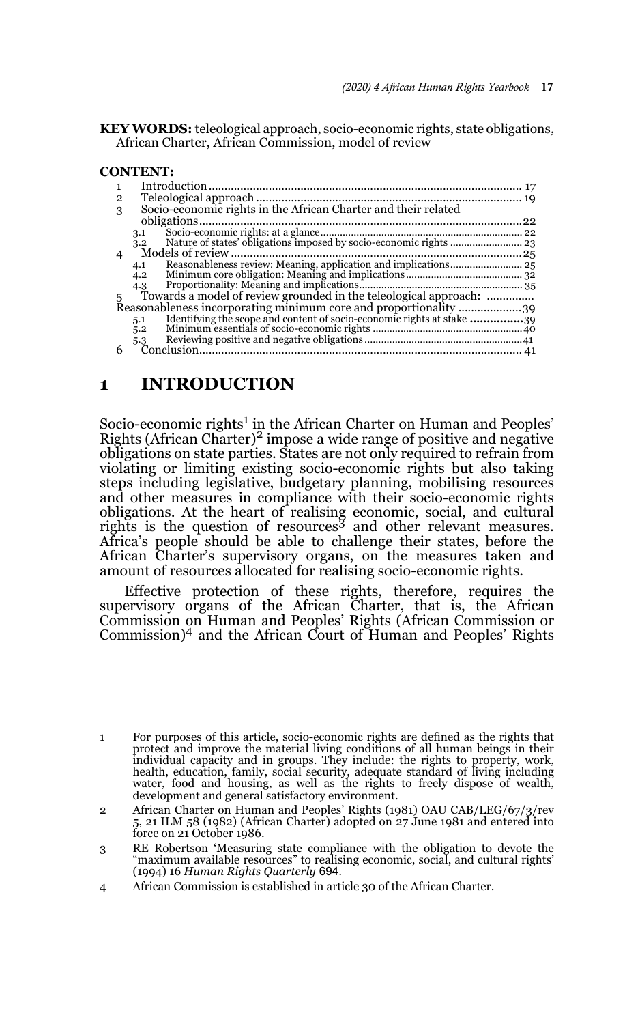**KEY WORDS:** teleological approach, socio-economic rights, state obligations, African Charter, African Commission, model of review

#### **CONTENT:**

| $\overline{2}$<br>3 | Socio-economic rights in the African Charter and their related             |  |
|---------------------|----------------------------------------------------------------------------|--|
|                     |                                                                            |  |
|                     | 3.1                                                                        |  |
|                     | 3.2                                                                        |  |
|                     |                                                                            |  |
|                     | 4.1                                                                        |  |
|                     | 4.2                                                                        |  |
|                     | 4.3                                                                        |  |
| 5                   | Towards a model of review grounded in the teleological approach:           |  |
|                     | Reasonableness incorporating minimum core and proportionality 39           |  |
|                     | Identifying the scope and content of socio-economic rights at stake<br>5.1 |  |
|                     | 5.2                                                                        |  |
|                     | 5.3                                                                        |  |
|                     |                                                                            |  |
|                     |                                                                            |  |

# **1 INTRODUCTION**

Socio-economic rights<sup>1</sup> in the African Charter on Human and Peoples' Rights (African Charter)<sup>2</sup> impose a wide range of positive and negative obligations on state parties. States are not only required to refrain from violating or limiting existing socio-economic rights but also taking steps including legislative, budgetary planning, mobilising resources and other measures in compliance with their socio-economic rights obligations. At the heart of realising economic, social, and cultural rights is the question of resources3 and other relevant measures. Africa's people should be able to challenge their states, before the African Charter's supervisory organs, on the measures taken and amount of resources allocated for realising socio-economic rights.

Effective protection of these rights, therefore, requires the supervisory organs of the African Charter, that is, the African Commission on Human and Peoples' Rights (African Commission or Commission)4 and the African Court of Human and Peoples' Rights

4 African Commission is established in article 30 of the African Charter.

<sup>1</sup> For purposes of this article, socio-economic rights are defined as the rights that protect and improve the material living conditions of all human beings in their individual capacity and in groups. They include: the rights to property, work, health, education, family, social security, adequate standard of living including water, food and housing, as well as the rights to freely dispose of wealth, development and general satisfactory environment.

<sup>2</sup> African Charter on Human and Peoples' Rights (1981) OAU CAB/LEG/67/3/rev 5, 21 ILM 58 (1982) (African Charter) adopted on 27 June 1981 and entered into force on 21 October 1986.

<sup>3</sup> RE Robertson 'Measuring state compliance with the obligation to devote the "maximum available resources" to realising economic, social, and cultural rights' (1994) 16 *Human Rights Quarterly* 694.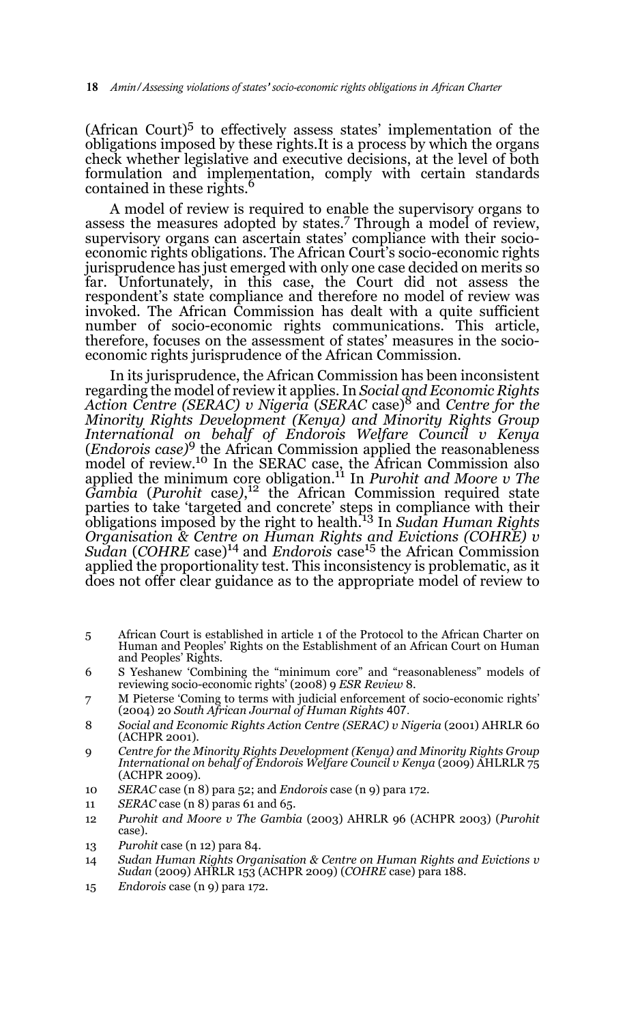(African Court) $5$  to effectively assess states' implementation of the obligations imposed by these rights.It is a process by which the organs check whether legislative and executive decisions, at the level of both formulation and implementation, comply with certain standards contained in these rights.<sup>6</sup>

A model of review is required to enable the supervisory organs to assess the measures adopted by states.<sup>7</sup> Through a model of review, supervisory organs can ascertain states' compliance with their socioeconomic rights obligations. The African Court's socio-economic rights jurisprudence has just emerged with only one case decided on merits so far. Unfortunately, in this case, the Court did not assess the respondent's state compliance and therefore no model of review was invoked. The African Commission has dealt with a quite sufficient number of socio-economic rights communications. This article, therefore, focuses on the assessment of states' measures in the socioeconomic rights jurisprudence of the African Commission.

In its jurisprudence, the African Commission has been inconsistent regarding the model of review it applies. In *Social and Economic Rights Action Centre (SERAC) v Nigeria* (*SERAC* case)8 and *Centre for the Minority Rights Development (Kenya) and Minority Rights Group International on behalf of Endorois Welfare Council v Kenya* (*Endorois case)*9 the African Commission applied the reasonableness model of review.<sup>10</sup> In the SERAC case, the African Commission also applied the minimum core obligation.11 In *Purohit and Moore v The Gambia* (*Purohit* case*)*, 12 the African Commission required state parties to take 'targeted and concrete' steps in compliance with their obligations imposed by the right to health.13 In *Sudan Human Rights Organisation & Centre on Human Rights and Evictions (COHRE) v Sudan* (*COHRE* case)14 and *Endorois* case15 the African Commission applied the proportionality test. This inconsistency is problematic, as it does not offer clear guidance as to the appropriate model of review to

- 5 African Court is established in article 1 of the Protocol to the African Charter on Human and Peoples' Rights on the Establishment of an African Court on Human and Peoples' Rights.
- 6 S Yeshanew 'Combining the "minimum core" and "reasonableness" models of reviewing socio-economic rights' (2008) 9 *ESR Review* 8.
- 7 M Pieterse 'Coming to terms with judicial enforcement of socio-economic rights' (2004) 20 *South African Journal of Human Rights* 407.
- 8 *Social and Economic Rights Action Centre (SERAC) v Nigeria* (2001) AHRLR 60 (ACHPR 2001).
- 9 *Centre for the Minority Rights Development (Kenya) and Minority Rights Group International on behalf of Endorois Welfare Council v Kenya* (2009) AHLRLR 75 (ACHPR 2009).
- 10 *SERAC* case (n 8) para 52; and *Endorois* case (n 9) para 172.
- 11 *SERAC* case (n 8) paras 61 and 65.
- 12 *Purohit and Moore v The Gambia* (2003) AHRLR 96 (ACHPR 2003) (*Purohit* case).
- 13 *Purohit* case (n 12) para 84.
- 14 *Sudan Human Rights Organisation & Centre on Human Rights and Evictions v Sudan* (2009) AHRLR 153 (ACHPR 2009) (*COHRE* case) para 188.
- 15 *Endorois* case (n 9) para 172.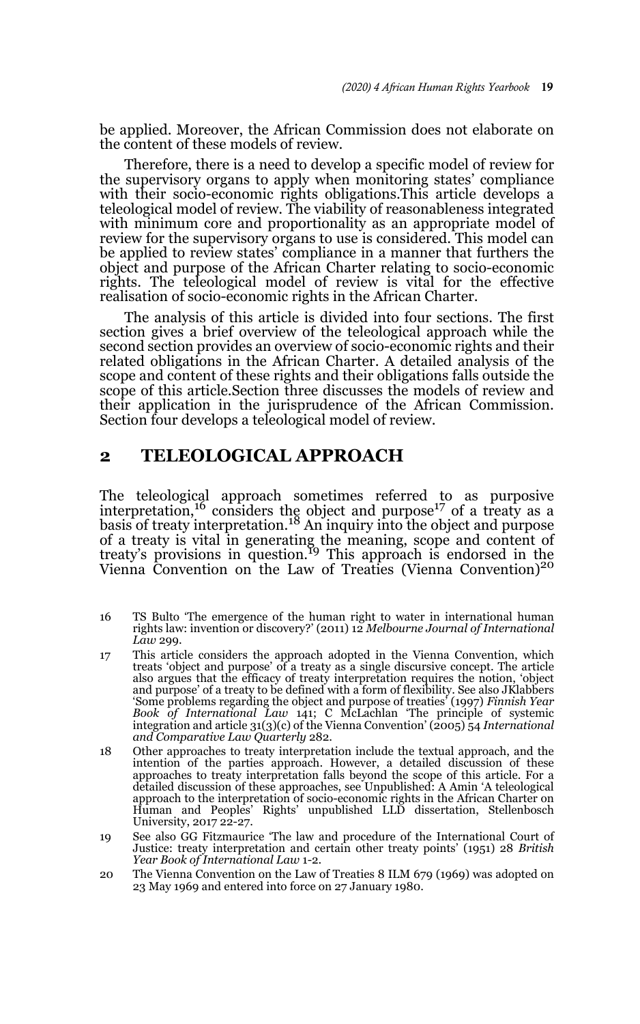be applied. Moreover, the African Commission does not elaborate on the content of these models of review.

Therefore, there is a need to develop a specific model of review for the supervisory organs to apply when monitoring states' compliance with their socio-economic rights obligations.This article develops a teleological model of review. The viability of reasonableness integrated with minimum core and proportionality as an appropriate model of review for the supervisory organs to use is considered. This model can be applied to review states' compliance in a manner that furthers the object and purpose of the African Charter relating to socio-economic rights. The teleological model of review is vital for the effective realisation of socio-economic rights in the African Charter.

The analysis of this article is divided into four sections. The first section gives a brief overview of the teleological approach while the second section provides an overview of socio-economic rights and their related obligations in the African Charter. A detailed analysis of the scope and content of these rights and their obligations falls outside the scope of this article.Section three discusses the models of review and their application in the jurisprudence of the African Commission. Section four develops a teleological model of review.

# **2 TELEOLOGICAL APPROACH**

The teleological approach sometimes referred to as purposive interpretation,<sup>16</sup> considers the object and purpose<sup>17</sup> of a treaty as a basis of treaty interpretation.<sup>18</sup> An inquiry into the object and purpose of a treaty is vital in generating the meaning, scope and content of treaty's provisions in question.19 This approach is endorsed in the Vienna Convention on the Law of Treaties (Vienna Convention)<sup>20</sup>

- 16 TS Bulto 'The emergence of the human right to water in international human rights law: invention or discovery?' (2011) 12 *Melbourne Journal of International Law* 299.
- 17 This article considers the approach adopted in the Vienna Convention, which treats 'object and purpose' of a treaty as a single discursive concept. The article also argues that the efficacy of treaty interpretation requires the notion, 'object and purpose' of a treaty to be defined with a form of flexibility. See also JKlabbers 'Some problems regarding the object and purpose of treaties' (1997) *Finnish Year Book of International Law* 141; C McLachlan 'The principle of systemic integration and article 31(3)(c) of the Vienna Convention' (2005) 54 *International and Comparative Law Quarterly* 282.
- 18 Other approaches to treaty interpretation include the textual approach, and the intention of the parties approach. However, a detailed discussion of these approaches to treaty interpretation falls beyond the scope of this article. For a detailed discussion of these approaches, see Unpublished: A Amin 'A teleological approach to the interpretation of socio-economic rights in the African Charter on Human and Peoples' Rights' unpublished LLD dissertation, Stellenbosch University, 2017 22-27.
- 19 See also GG Fitzmaurice 'The law and procedure of the International Court of Justice: treaty interpretation and certain other treaty points' (1951) 28 *British Year Book of International Law* 1-2.
- 20 The Vienna Convention on the Law of Treaties 8 ILM 679 (1969) was adopted on 23 May 1969 and entered into force on 27 January 1980.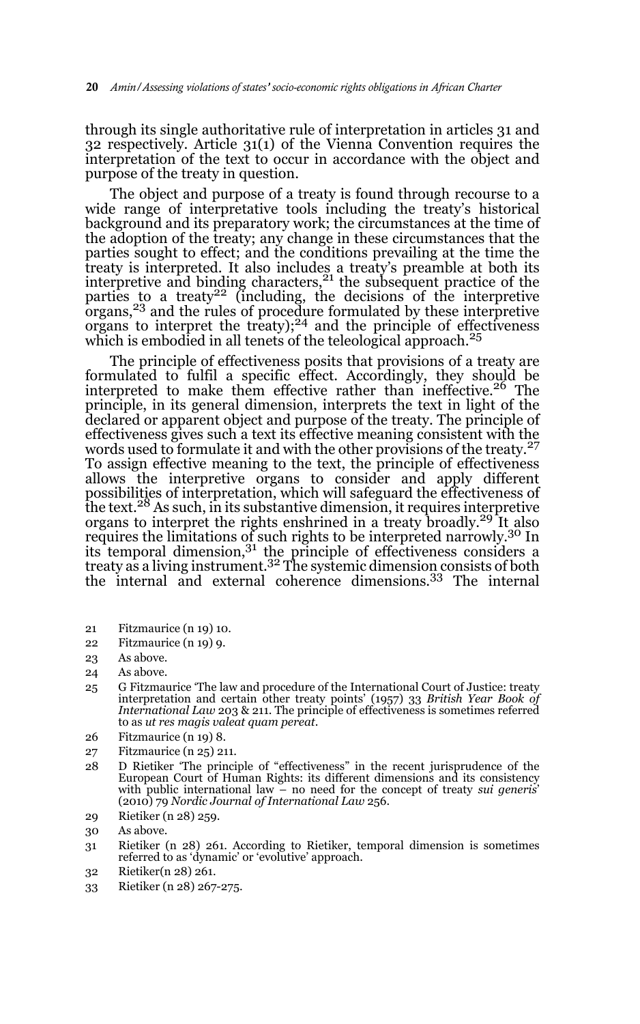through its single authoritative rule of interpretation in articles 31 and 32 respectively. Article 31(1) of the Vienna Convention requires the interpretation of the text to occur in accordance with the object and purpose of the treaty in question.

The object and purpose of a treaty is found through recourse to a wide range of interpretative tools including the treaty's historical background and its preparatory work; the circumstances at the time of the adoption of the treaty; any change in these circumstances that the parties sought to effect; and the conditions prevailing at the time the treaty is interpreted. It also includes a treaty's preamble at both its interpretive and binding characters, $2<sup>1</sup>$  the subsequent practice of the parties to a treaty<sup>22</sup> (including, the decisions of the interpretive organs,23 and the rules of procedure formulated by these interpretive organs to interpret the treaty); $^{24}$  and the principle of effectiveness which is embodied in all tenets of the teleological approach.<sup>25</sup>

The principle of effectiveness posits that provisions of a treaty are formulated to fulfil a specific effect. Accordingly, they should be interpreted to make them effective rather than ineffective.<sup>26</sup> The principle, in its general dimension, interprets the text in light of the declared or apparent object and purpose of the treaty. The principle of effectiveness gives such a text its effective meaning consistent with the words used to formulate it and with the other provisions of the treaty.<sup>27</sup> To assign effective meaning to the text, the principle of effectiveness allows the interpretive organs to consider and apply different possibilities of interpretation, which will safeguard the effectiveness of the text.28 As such, in its substantive dimension, it requires interpretive organs to interpret the rights enshrined in a treaty broadly.<sup>29</sup> It also requires the limitations of such rights to be interpreted narrowly.30 In its temporal dimension, $3<sup>1</sup>$  the principle of effectiveness considers a treaty as a living instrument.<sup>32</sup> The systemic dimension consists of both the internal and external coherence dimensions.33 The internal

- 21 Fitzmaurice (n 19) 10.
- 22 Fitzmaurice (n 19) 9.
- 23 As above.
- 24 As above.
- 25 G Fitzmaurice 'The law and procedure of the International Court of Justice: treaty interpretation and certain other treaty points' (1957) 33 *British Year Book of International Law* 203 & 211. The principle of effectiveness is sometimes referred to as *ut res magis valeat quam pereat*.
- 26 Fitzmaurice (n 19) 8.
- 27 Fitzmaurice (n 25) 211.
- 28 D Rietiker 'The principle of "effectiveness" in the recent jurisprudence of the European Court of Human Rights: its different dimensions and its consistency with public international law – no need for the concept of treaty *sui generis*' (2010) 79 *Nordic Journal of International Law* 256.
- 29 Rietiker (n 28) 259.
- 30 As above.
- 31 Rietiker (n 28) 261. According to Rietiker, temporal dimension is sometimes referred to as 'dynamic' or 'evolutive' approach.
- 32 Rietiker(n 28) 261.
- 33 Rietiker (n 28) 267-275.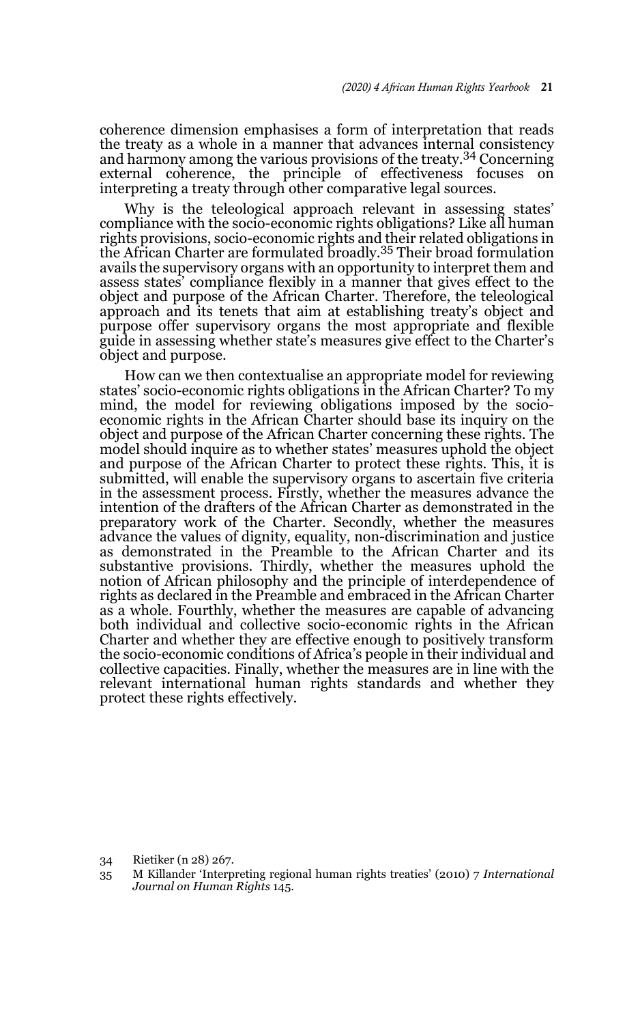coherence dimension emphasises a form of interpretation that reads the treaty as a whole in a manner that advances internal consistency and harmony among the various provisions of the treaty.<sup>34</sup> Concerning external coherence, the principle of effectiveness focuses on interpreting a treaty through other comparative legal sources.

Why is the teleological approach relevant in assessing states' compliance with the socio-economic rights obligations? Like all human rights provisions, socio-economic rights and their related obligations in the African Charter are formulated broadly.35 Their broad formulation avails the supervisory organs with an opportunity to interpret them and assess states' compliance flexibly in a manner that gives effect to the object and purpose of the African Charter. Therefore, the teleological approach and its tenets that aim at establishing treaty's object and purpose offer supervisory organs the most appropriate and flexible guide in assessing whether state's measures give effect to the Charter's object and purpose.

How can we then contextualise an appropriate model for reviewing states' socio-economic rights obligations in the African Charter? To my mind, the model for reviewing obligations imposed by the socioeconomic rights in the African Charter should base its inquiry on the object and purpose of the African Charter concerning these rights. The model should inquire as to whether states' measures uphold the object and purpose of the African Charter to protect these rights. This, it is submitted, will enable the supervisory organs to ascertain five criteria in the assessment process. Firstly, whether the measures advance the intention of the drafters of the African Charter as demonstrated in the preparatory work of the Charter. Secondly, whether the measures advance the values of dignity, equality, non-discrimination and justice as demonstrated in the Preamble to the African Charter and its substantive provisions. Thirdly, whether the measures uphold the notion of African philosophy and the principle of interdependence of rights as declared in the Preamble and embraced in the African Charter as a whole. Fourthly, whether the measures are capable of advancing both individual and collective socio-economic rights in the African Charter and whether they are effective enough to positively transform the socio-economic conditions of Africa's people in their individual and collective capacities. Finally, whether the measures are in line with the relevant international human rights standards and whether they protect these rights effectively.

34 Rietiker (n 28) 267.

<sup>35</sup> M Killander 'Interpreting regional human rights treaties' (2010) 7 *International Journal on Human Rights* 145.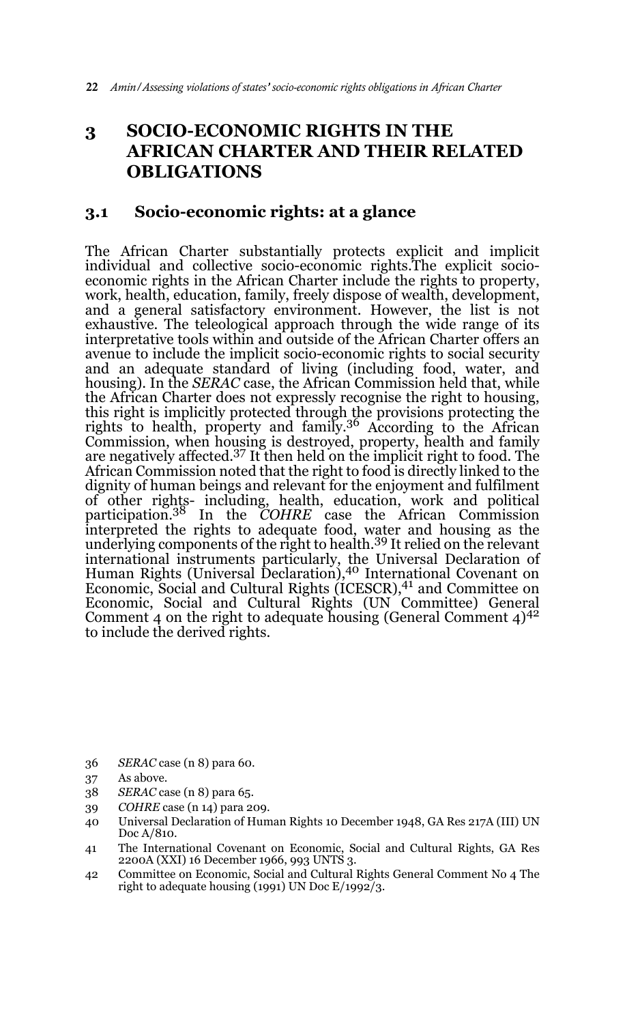# **3 SOCIO-ECONOMIC RIGHTS IN THE AFRICAN CHARTER AND THEIR RELATED OBLIGATIONS**

## **3.1 Socio-economic rights: at a glance**

The African Charter substantially protects explicit and implicit individual and collective socio-economic rights.The explicit socioeconomic rights in the African Charter include the rights to property, work, health, education, family, freely dispose of wealth, development, and a general satisfactory environment. However, the list is not exhaustive. The teleological approach through the wide range of its interpretative tools within and outside of the African Charter offers an avenue to include the implicit socio-economic rights to social security and an adequate standard of living (including food, water, and housing). In the *SERAC* case, the African Commission held that, while the African Charter does not expressly recognise the right to housing, this right is implicitly protected through the provisions protecting the rights to health, property and family.36 According to the African Commission, when housing is destroyed, property, health and family are negatively affected.37 It then held on the implicit right to food. The African Commission noted that the right to food is directly linked to the dignity of human beings and relevant for the enjoyment and fulfilment of other rights- including, health, education, work and political participation.38 In the *COHRE* case the African Commission interpreted the rights to adequate food, water and housing as the underlying components of the right to health.39 It relied on the relevant international instruments particularly, the Universal Declaration of Human Rights (Universal Declaration),40 International Covenant on Economic, Social and Cultural Rights (ICESCR),<sup>41</sup> and Committee on Economic, Social and Cultural Rights (UN Committee) General Comment 4 on the right to adequate housing (General Comment  $4$ )<sup>42</sup> to include the derived rights.

- 36 *SERAC* case (n 8) para 60.
- 37 As above.
- 38 *SERAC* case (n 8) para 65.
- 39 *COHRE* case (n 14) para 209.
- 40 Universal Declaration of Human Rights 10 December 1948, GA Res 217A (III) UN Doc A/810.
- 41 The International Covenant on Economic, Social and Cultural Rights, GA Res 2200A (XXI) 16 December 1966, 993 UNTS 3.
- 42 Committee on Economic, Social and Cultural Rights General Comment No 4 The right to adequate housing (1991) UN Doc E/1992/3.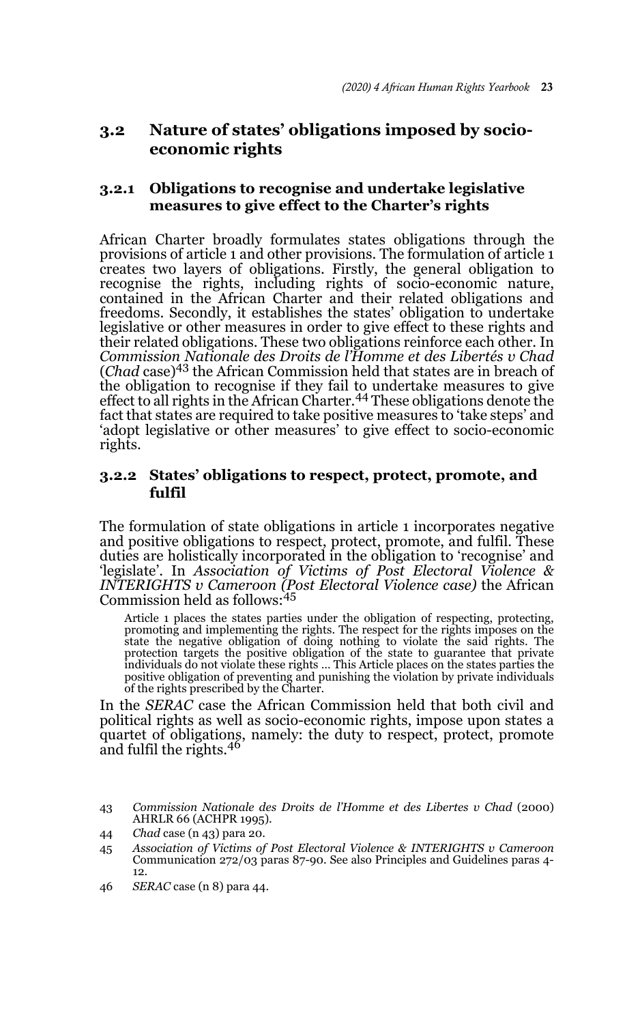# **3.2 Nature of states' obligations imposed by socioeconomic rights**

### **3.2.1 Obligations to recognise and undertake legislative measures to give effect to the Charter's rights**

African Charter broadly formulates states obligations through the provisions of article 1 and other provisions. The formulation of article 1 creates two layers of obligations. Firstly, the general obligation to recognise the rights, including rights of socio-economic nature, contained in the African Charter and their related obligations and freedoms. Secondly, it establishes the states' obligation to undertake legislative or other measures in order to give effect to these rights and their related obligations. These two obligations reinforce each other. In *Commission Nationale des Droits de l'Homme et des Libertés v Chad* (*Chad* case)43 the African Commission held that states are in breach of the obligation to recognise if they fail to undertake measures to give effect to all rights in the African Charter.<sup>44</sup> These obligations denote the fact that states are required to take positive measures to 'take steps' and 'adopt legislative or other measures' to give effect to socio-economic rights.

### **3.2.2 States' obligations to respect, protect, promote, and fulfil**

The formulation of state obligations in article 1 incorporates negative and positive obligations to respect, protect, promote, and fulfil. These duties are holistically incorporated in the obligation to 'recognise' and 'legislate'. In *Association of Victims of Post Electoral Violence & INTERIGHTS v Cameroon (Post Electoral Violence case)* the African Commission held as follows:  $45$ 

Article 1 places the states parties under the obligation of respecting, protecting, promoting and implementing the rights. The respect for the rights imposes on the state the negative obligation of doing nothing to violate the said rights. The protection targets the positive obligation of the state to guarantee that private individuals do not violate these rights … This Article places on the states parties the positive obligation of preventing and punishing the violation by private individuals of the rights prescribed by the Charter.

In the *SERAC* case the African Commission held that both civil and political rights as well as socio-economic rights, impose upon states a quartet of obligations, namely: the duty to respect, protect, promote and fulfil the rights.<sup>46</sup>

- 43 *Commission Nationale des Droits de l'Homme et des Libertes v Chad* (2000) AHRLR 66 (ACHPR 1995).
- 44 *Chad* case (n 43) para 20.
- 45 *Association of Victims of Post Electoral Violence & INTERIGHTS v Cameroon* Communication 272/03 paras 87-90. See also Principles and Guidelines paras 4- 12.
- 46 *SERAC* case (n 8) para 44.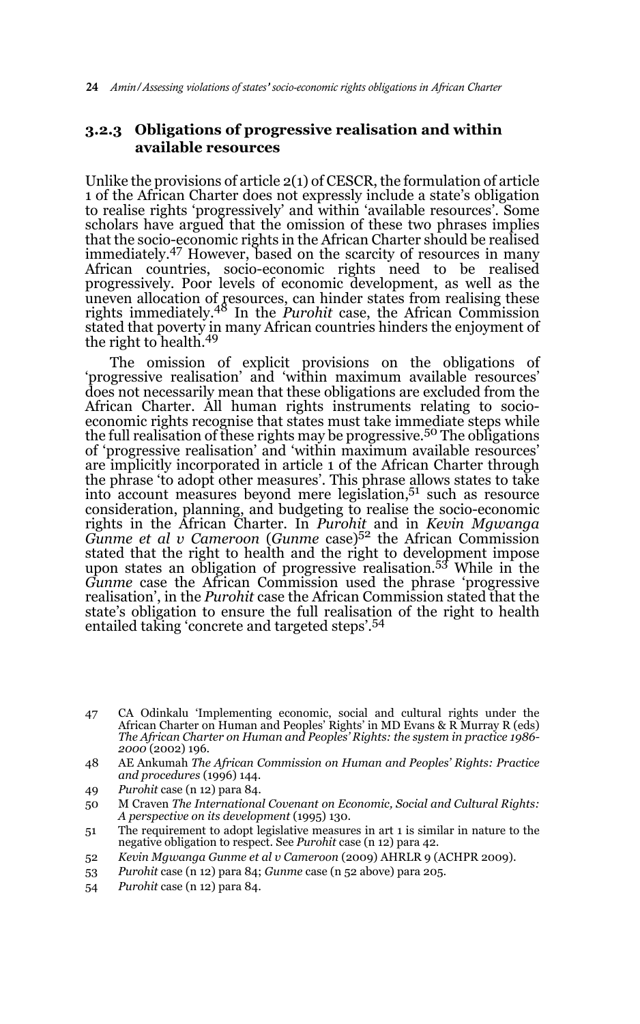### **3.2.3 Obligations of progressive realisation and within available resources**

Unlike the provisions of article 2(1) of CESCR, the formulation of article 1 of the African Charter does not expressly include a state's obligation to realise rights 'progressively' and within 'available resources'. Some scholars have argued that the omission of these two phrases implies that the socio-economic rights in the African Charter should be realised immediately.47 However, based on the scarcity of resources in many African countries, socio-economic rights need to be realised progressively. Poor levels of economic development, as well as the uneven allocation of resources, can hinder states from realising these rights immediately.48 In the *Purohit* case, the African Commission stated that poverty in many African countries hinders the enjoyment of<br>the right to health.<sup>49</sup>

The omission of explicit provisions on the obligations of 'progressive realisation' and 'within maximum available resources' does not necessarily mean that these obligations are excluded from the African Charter. All human rights instruments relating to socioeconomic rights recognise that states must take immediate steps while the full realisation of these rights may be progressive.<sup>50</sup> The obligations of 'progressive realisation' and 'within maximum available resources' are implicitly incorporated in article 1 of the African Charter through the phrase 'to adopt other measures'. This phrase allows states to take into account measures beyond mere legislation,51 such as resource consideration, planning, and budgeting to realise the socio-economic rights in the African Charter. In *Purohit* and in *Kevin Mgwanga Gunme et al v Cameroon* (*Gunme* case)52 the African Commission stated that the right to health and the right to development impose upon states an obligation of progressive realisation.53 While in the *Gunme* case the African Commission used the phrase 'progressive realisation', in the *Purohit* case the African Commission stated that the state's obligation to ensure the full realisation of the right to health entailed taking 'concrete and targeted steps'.<sup>54</sup>

- 48 AE Ankumah *The African Commission on Human and Peoples' Rights: Practice and procedures* (1996) 144.
- 49 *Purohit* case (n 12) para 84.
- 50 M Craven *The International Covenant on Economic, Social and Cultural Rights: A perspective on its development* (1995) 130.
- 51 The requirement to adopt legislative measures in art 1 is similar in nature to the negative obligation to respect. See *Purohit* case (n 12) para 42.
- 52 *Kevin Mgwanga Gunme et al v Cameroon* (2009) AHRLR 9 (ACHPR 2009).
- 53 *Purohit* case (n 12) para 84; *Gunme* case (n 52 above) para 205.
- 54 *Purohit* case (n 12) para 84.

<sup>47</sup> CA Odinkalu 'Implementing economic, social and cultural rights under the African Charter on Human and Peoples' Rights' in MD Evans & R Murray R (eds) *The African Charter on Human and Peoples' Rights: the system in practice 1986- 2000* (2002) 196.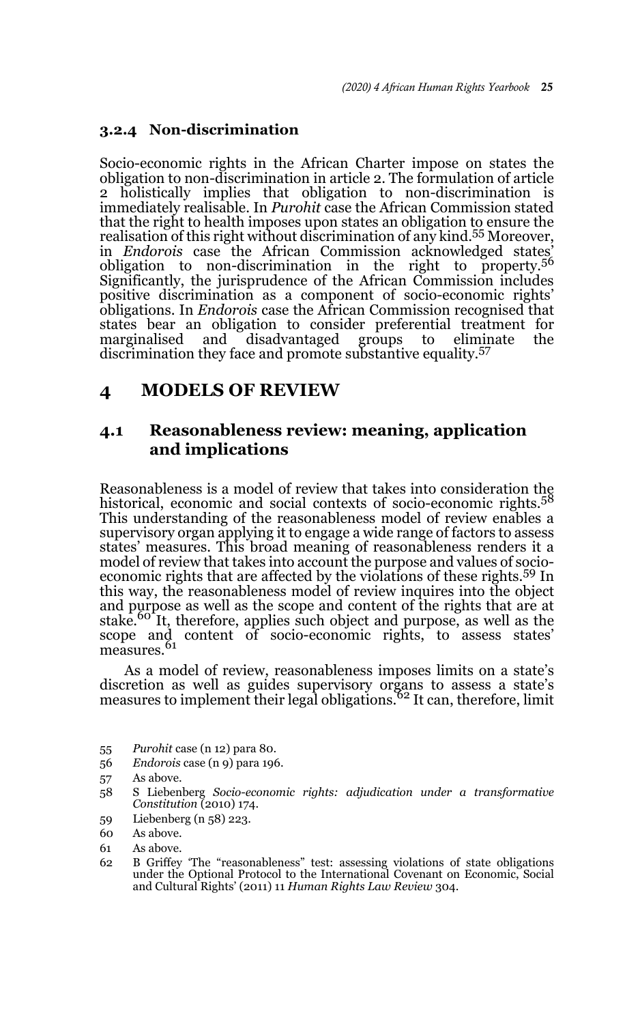### **3.2.4 Non-discrimination**

Socio-economic rights in the African Charter impose on states the obligation to non-discrimination in article 2. The formulation of article 2 holistically implies that obligation to non-discrimination is immediately realisable. In *Purohit* case the African Commission stated that the right to health imposes upon states an obligation to ensure the realisation of this right without discrimination of any kind.<sup>55</sup> Moreover, in *Endorois* case the African Commission acknowledged states obligation to non-discrimination in the right to property.<sup>56</sup> Significantly, the jurisprudence of the African Commission includes positive discrimination as a component of socio-economic rights' obligations. In *Endorois* case the African Commission recognised that states bear an obligation to consider preferential treatment for marginalised and disadvantaged groups to eliminate the discrimination they face and promote substantive equality.<sup>57</sup>

# **4 MODELS OF REVIEW**

# **4.1 Reasonableness review: meaning, application and implications**

Reasonableness is a model of review that takes into consideration the historical, economic and social contexts of socio-economic rights.<sup>58</sup> This understanding of the reasonableness model of review enables a supervisory organ applying it to engage a wide range of factors to assess states' measures. This broad meaning of reasonableness renders it a model of review that takes into account the purpose and values of socioeconomic rights that are affected by the violations of these rights.59 In this way, the reasonableness model of review inquires into the object and purpose as well as the scope and content of the rights that are at stake.<sup>60</sup> It, therefore, applies such object and purpose, as well as the scope and content of socio-economic rights, to assess states' measures.<sup>61</sup>

As a model of review, reasonableness imposes limits on a state's discretion as well as guides supervisory organs to assess a state's measures to implement their legal obligations.<sup>62</sup> It can, therefore, limit

- 55 *Purohit* case (n 12) para 80.
- 56 *Endorois* case (n 9) para 196.

- 58 S Liebenberg *Socio-economic rights: adjudication under a transformative Constitution* (2010) 174.
- 59 Liebenberg (n 58) 223.

- 61 As above.
- 62 B Griffey 'The "reasonableness" test: assessing violations of state obligations under the Optional Protocol to the International Covenant on Economic, Social and Cultural Rights' (2011) 11 *Human Rights Law Review* 304.

<sup>57</sup> As above.

<sup>60</sup> As above.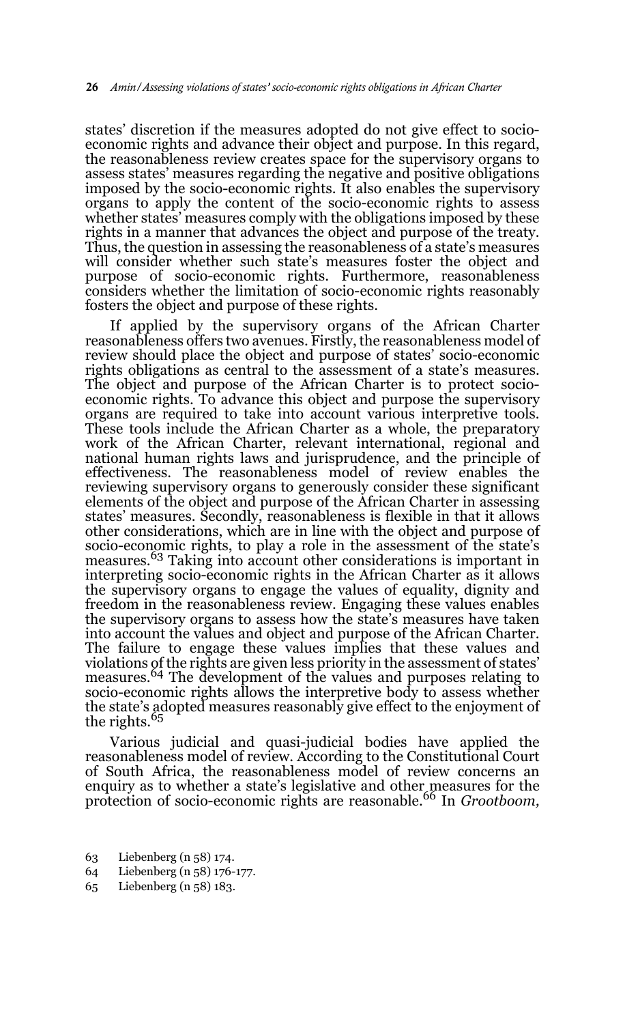states' discretion if the measures adopted do not give effect to socioeconomic rights and advance their object and purpose. In this regard, the reasonableness review creates space for the supervisory organs to assess states' measures regarding the negative and positive obligations imposed by the socio-economic rights. It also enables the supervisory organs to apply the content of the socio-economic rights to assess whether states' measures comply with the obligations imposed by these rights in a manner that advances the object and purpose of the treaty. Thus, the question in assessing the reasonableness of a state's measures will consider whether such state's measures foster the object and purpose of socio-economic rights. Furthermore, reasonableness considers whether the limitation of socio-economic rights reasonably fosters the object and purpose of these rights.

If applied by the supervisory organs of the African Charter reasonableness offers two avenues. Firstly, the reasonableness model of review should place the object and purpose of states' socio-economic rights obligations as central to the assessment of a state's measures. The object and purpose of the African Charter is to protect socioeconomic rights. To advance this object and purpose the supervisory organs are required to take into account various interpretive tools. These tools include the African Charter as a whole, the preparatory work of the African Charter, relevant international, regional and national human rights laws and jurisprudence, and the principle of effectiveness. The reasonableness model of review enables the reviewing supervisory organs to generously consider these significant elements of the object and purpose of the African Charter in assessing states' measures. Secondly, reasonableness is flexible in that it allows other considerations, which are in line with the object and purpose of socio-economic rights, to play a role in the assessment of the state's measures.63 Taking into account other considerations is important in interpreting socio-economic rights in the African Charter as it allows the supervisory organs to engage the values of equality, dignity and freedom in the reasonableness review. Engaging these values enables the supervisory organs to assess how the state's measures have taken into account the values and object and purpose of the African Charter. The failure to engage these values implies that these values and violations of the rights are given less priority in the assessment of states' measures.64 The development of the values and purposes relating to socio-economic rights allows the interpretive body to assess whether the state's adopted measures reasonably give effect to the enjoyment of the rights.<sup>65</sup>

Various judicial and quasi-judicial bodies have applied the reasonableness model of review. According to the Constitutional Court of South Africa, the reasonableness model of review concerns an enquiry as to whether a state's legislative and other measures for the protection of socio-economic rights are reasonable.66 In *Grootboom,*

- 63 Liebenberg (n 58) 174.
- 64 Liebenberg (n 58) 176-177.
- 65 Liebenberg (n 58) 183.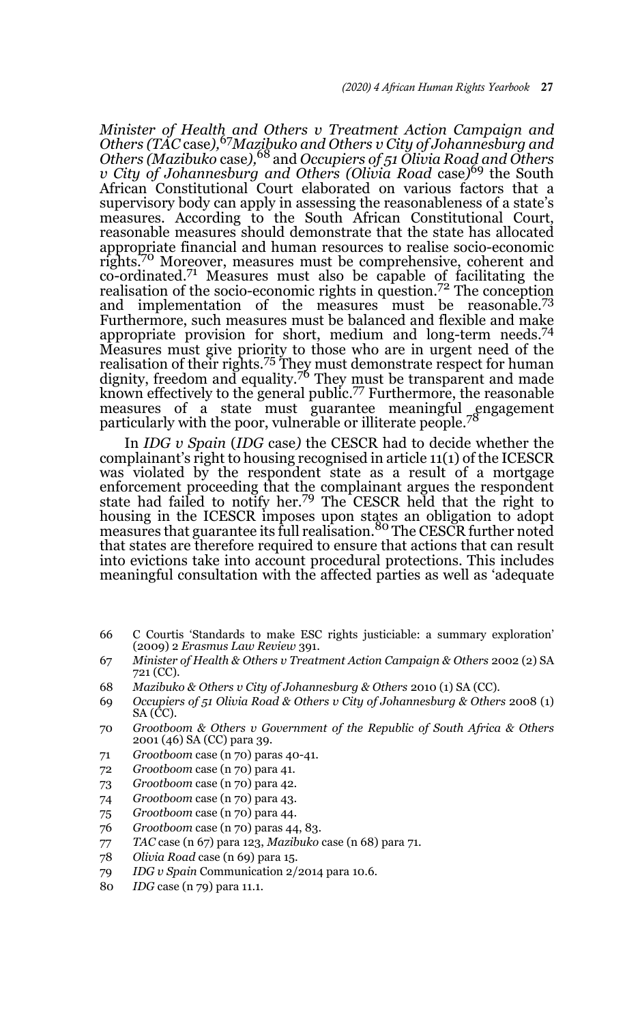*Minister of Health and Others v Treatment Action Campaign and Others (TAC* case*),*67*Mazibuko and Others v City of Johannesburg and Others (Mazibuko* case*),*68 and *Occupiers of 51 Olivia Road and Others v City of Johannesburg and Others (Olivia Road* case*)* 69 the South African Constitutional Court elaborated on various factors that a supervisory body can apply in assessing the reasonableness of a state's measures. According to the South African Constitutional Court, reasonable measures should demonstrate that the state has allocated appropriate financial and human resources to realise socio-economic rights.70 Moreover, measures must be comprehensive, coherent and co-ordinated.71 Measures must also be capable of facilitating the realisation of the socio-economic rights in question.<sup>72</sup> The conception and implementation of the measures must be reasonable.<sup>73</sup> Furthermore, such measures must be balanced and flexible and make appropriate provision for short, medium and long-term needs.<sup>74</sup> Measures must give priority to those who are in urgent need of the realisation of their rights.<sup>75</sup> They must demonstrate respect for human dignity, freedom and equality.<sup>76</sup> They must be transparent and made known effectively to the general public.77 Furthermore, the reasonable measures of a state must guarantee meaningful engagement particularly with the poor, vulnerable or illiterate people.<sup>78</sup>

In *IDG v Spain* (*IDG* case*)* the CESCR had to decide whether the complainant's right to housing recognised in article 11(1) of the ICESCR was violated by the respondent state as a result of a mortgage enforcement proceeding that the complainant argues the respondent state had failed to notify her.79 The CESCR held that the right to housing in the ICESCR imposes upon states an obligation to adopt<br>measures that guarantee its full realisation.<sup>80</sup> The CESCR further noted that states are therefore required to ensure that actions that can result into evictions take into account procedural protections. This includes meaningful consultation with the affected parties as well as 'adequate

- 66 C Courtis 'Standards to make ESC rights justiciable: a summary exploration' (2009) 2 *Erasmus Law Review* 391.
- 67 *Minister of Health & Others v Treatment Action Campaign & Others* 2002 (2) SA 721 (CC).
- 68 *Mazibuko & Others v City of Johannesburg & Others* 2010 (1) SA (CC).
- 69 *Occupiers of 51 Olivia Road & Others v City of Johannesburg & Others* 2008 (1) SA (CC).
- 70 *Grootboom & Others v Government of the Republic of South Africa & Others* 2001 (46) SA (CC) para 39.
- 71 *Grootboom* case (n 70) paras 40-41.
- 72 *Grootboom* case (n 70) para 41.
- 73 *Grootboom* case (n 70) para 42.
- 74 *Grootboom* case (n 70) para 43.
- 75 *Grootboom* case (n 70) para 44.
- 76 *Grootboom* case (n 70) paras 44, 83.
- 77 *TAC* case (n 67) para 123, *Mazibuko* case (n 68) para 71.
- 78 *Olivia Road* case (n 69) para 15.
- 79 *IDG v Spain* Communication 2/2014 para 10.6.
- 80 *IDG* case (n 79) para 11.1.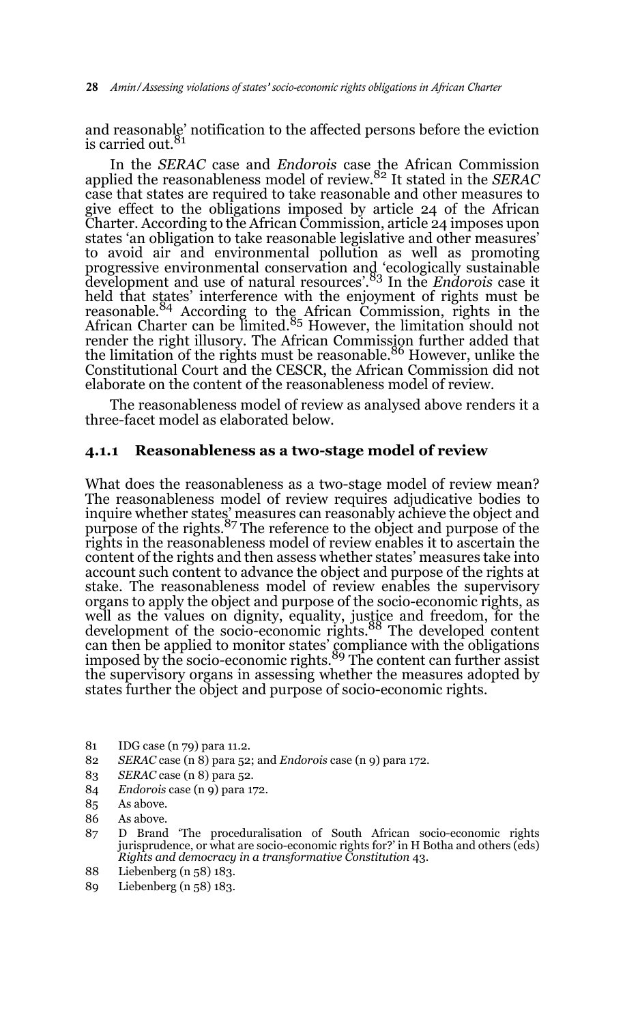and reasonable' notification to the affected persons before the eviction is carried out.<sup>81</sup>

In the *SERAC* case and *Endorois* case the African Commission applied the reasonableness model of review.82 It stated in the *SERAC* case that states are required to take reasonable and other measures to give effect to the obligations imposed by article 24 of the African Charter. According to the African Commission, article 24 imposes upon states 'an obligation to take reasonable legislative and other measures' to avoid air and environmental pollution as well as promoting progressive environmental conservation and 'ecologically sustainable development and use of natural resources'.83 In the *Endorois* case it held that states' interference with the enjoyment of rights must be reasonable.<sup>84</sup> According to the African Commission, rights in the African Charter can be limited.<sup>85</sup> However, the limitation should not render the right illusory. The African Commission further added that<br>the limitation of the rights must be reasonable.<sup>86</sup> However, unlike the Constitutional Court and the CESCR, the African Commission did not elaborate on the content of the reasonableness model of review.

The reasonableness model of review as analysed above renders it a three-facet model as elaborated below.

#### **4.1.1 Reasonableness as a two-stage model of review**

What does the reasonableness as a two-stage model of review mean? The reasonableness model of review requires adjudicative bodies to inquire whether states' measures can reasonably achieve the object and<br>purpose of the rights.<sup>87</sup> The reference to the object and purpose of the rights in the reasonableness model of review enables it to ascertain the content of the rights and then assess whether states' measures take into account such content to advance the object and purpose of the rights at stake. The reasonableness model of review enables the supervisory organs to apply the object and purpose of the socio-economic rights, as well as the values on dignity, equality, justice and freedom, for the development of the socio-economic rights.88 The developed content can then be applied to monitor states' compliance with the obligations imposed by the socio-economic rights.<sup>89</sup> The content can further assist the supervisory organs in assessing whether the measures adopted by states further the object and purpose of socio-economic rights.

- 81 IDG case (n 79) para 11.2.
- 82 *SERAC* case (n 8) para 52; and *Endorois* case (n 9) para 172.
- 83 *SERAC* case (n 8) para 52.
- 84 *Endorois* case (n 9) para 172.
- 85 As above.
- 86 As above.
- 87 D Brand 'The proceduralisation of South African socio-economic rights jurisprudence, or what are socio-economic rights for?' in H Botha and others (eds) *Rights and democracy in a transformative Constitution* 43.
- 88 Liebenberg (n 58) 183.
- 89 Liebenberg (n 58) 183.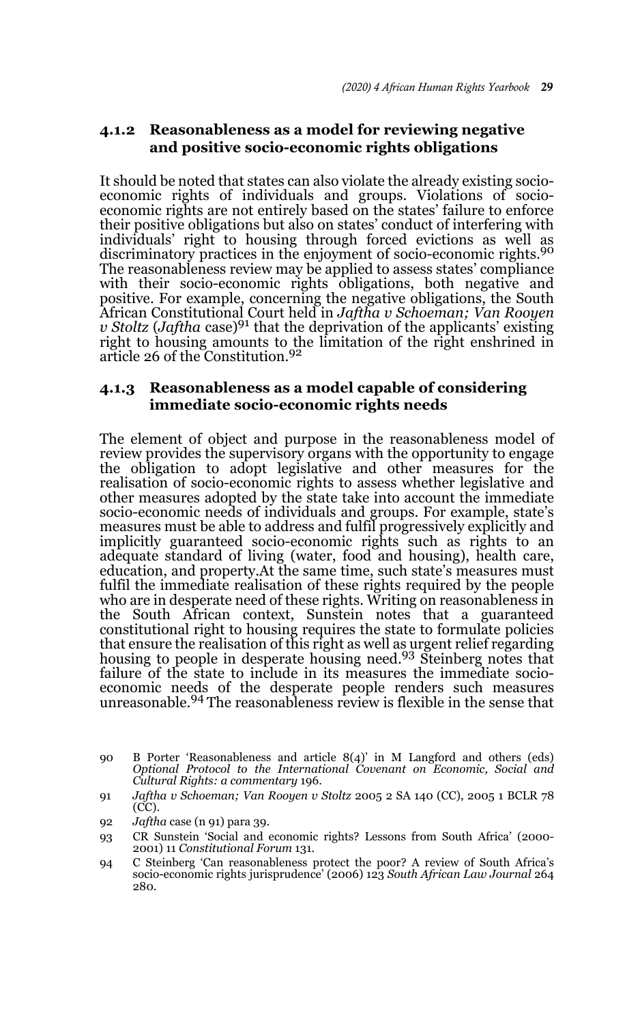## **4.1.2 Reasonableness as a model for reviewing negative and positive socio-economic rights obligations**

It should be noted that states can also violate the already existing socioeconomic rights of individuals and groups. Violations of socioeconomic rights are not entirely based on the states' failure to enforce their positive obligations but also on states' conduct of interfering with individuals' right to housing through forced evictions as well as discriminatory practices in the enjoyment of socio-economic rights.<sup>90</sup> The reasonableness review may be applied to assess states' compliance with their socio-economic rights obligations, both negative and positive. For example, concerning the negative obligations, the South African Constitutional Court held in *Jaftha v Schoeman; Van Rooyen v Stoltz* (*Jaftha* case)91 that the deprivation of the applicants' existing right to housing amounts to the limitation of the right enshrined in article 26 of the Constitution.<sup>92</sup>

### **4.1.3 Reasonableness as a model capable of considering immediate socio-economic rights needs**

The element of object and purpose in the reasonableness model of review provides the supervisory organs with the opportunity to engage the obligation to adopt legislative and other measures for the realisation of socio-economic rights to assess whether legislative and other measures adopted by the state take into account the immediate socio-economic needs of individuals and groups. For example, state's measures must be able to address and fulfil progressively explicitly and implicitly guaranteed socio-economic rights such as rights to an adequate standard of living (water, food and housing), health care, education, and property.At the same time, such state's measures must fulfil the immediate realisation of these rights required by the people who are in desperate need of these rights. Writing on reasonableness in the South African context, Sunstein notes that a guaranteed constitutional right to housing requires the state to formulate policies that ensure the realisation of this right as well as urgent relief regarding housing to people in desperate housing need.93 Steinberg notes that failure of the state to include in its measures the immediate socioeconomic needs of the desperate people renders such measures<br>unreasonable.<sup>94</sup> The reasonableness review is flexible in the sense that

<sup>90</sup> B Porter 'Reasonableness and article  $8(4)$ ' in M Langford and others (eds) *Optional Protocol to the International Covenant on Economic, Social and Cultural Rights: a commentary* 196.

<sup>91</sup> *Jaftha v Schoeman; Van Rooyen v Stoltz* 2005 2 SA 140 (CC), 2005 1 BCLR 78 (CC).

<sup>92</sup> *Jaftha* case (n 91) para 39.

<sup>93</sup> CR Sunstein 'Social and economic rights? Lessons from South Africa' (2000- 2001) 11 *Constitutional Forum* 131.

<sup>94</sup> C Steinberg 'Can reasonableness protect the poor? A review of South Africa's socio-economic rights jurisprudence' (2006) 123 *South African Law Journal* 264 280.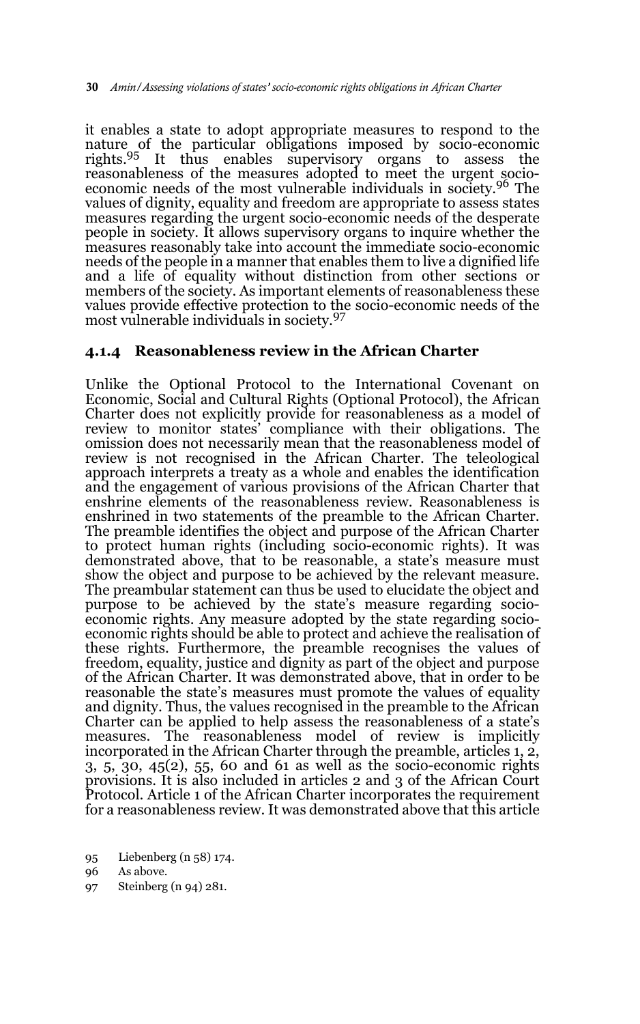it enables a state to adopt appropriate measures to respond to the nature of the particular obligations imposed by socio-economic rights.95 It thus enables supervisory organs to assess the reasonableness of the measures adopted to meet the urgent socioeconomic needs of the most vulnerable individuals in society.96 The values of dignity, equality and freedom are appropriate to assess states measures regarding the urgent socio-economic needs of the desperate people in society. It allows supervisory organs to inquire whether the measures reasonably take into account the immediate socio-economic needs of the people in a manner that enables them to live a dignified life and a life of equality without distinction from other sections or members of the society. As important elements of reasonableness these values provide effective protection to the socio-economic needs of the most vulnerable individuals in society.<sup>97</sup>

#### **4.1.4 Reasonableness review in the African Charter**

Unlike the Optional Protocol to the International Covenant on Economic, Social and Cultural Rights (Optional Protocol), the African Charter does not explicitly provide for reasonableness as a model of review to monitor states' compliance with their obligations. The omission does not necessarily mean that the reasonableness model of review is not recognised in the African Charter. The teleological approach interprets a treaty as a whole and enables the identification and the engagement of various provisions of the African Charter that enshrine elements of the reasonableness review. Reasonableness is enshrined in two statements of the preamble to the African Charter. The preamble identifies the object and purpose of the African Charter to protect human rights (including socio-economic rights). It was demonstrated above, that to be reasonable, a state's measure must show the object and purpose to be achieved by the relevant measure. The preambular statement can thus be used to elucidate the object and purpose to be achieved by the state's measure regarding socioeconomic rights. Any measure adopted by the state regarding socioeconomic rights should be able to protect and achieve the realisation of these rights. Furthermore, the preamble recognises the values of freedom, equality, justice and dignity as part of the object and purpose of the African Charter. It was demonstrated above, that in order to be reasonable the state's measures must promote the values of equality and dignity. Thus, the values recognised in the preamble to the African Charter can be applied to help assess the reasonableness of a state's measures. The reasonableness model of review is implicitly incorporated in the African Charter through the preamble, articles 1, 2,  $3, 5, 30, 45(2), 55, 60$  and  $61$  as well as the socio-economic rights provisions. It is also included in articles 2 and 3 of the African Court Protocol. Article 1 of the African Charter incorporates the requirement for a reasonableness review. It was demonstrated above that this article

97 Steinberg (n 94) 281.

<sup>95</sup> Liebenberg (n 58) 174.

<sup>96</sup> As above.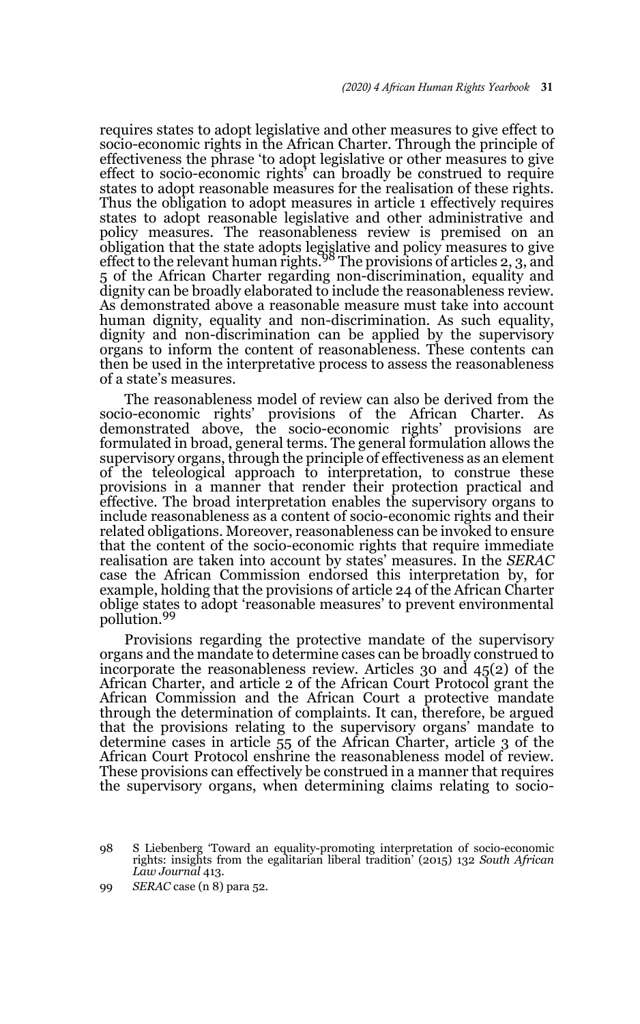requires states to adopt legislative and other measures to give effect to socio-economic rights in the African Charter. Through the principle of effectiveness the phrase 'to adopt legislative or other measures to give effect to socio-economic rights' can broadly be construed to require states to adopt reasonable measures for the realisation of these rights. Thus the obligation to adopt measures in article 1 effectively requires states to adopt reasonable legislative and other administrative and policy measures. The reasonableness review is premised on an obligation that the state adopts legislative and policy measures to give effect to the relevant human rights.<sup>98</sup> The provisions of articles 2, 3, and 5 of the African Charter regarding non-discrimination, equality and dignity can be broadly elaborated to include the reasonableness review. As demonstrated above a reasonable measure must take into account human dignity, equality and non-discrimination. As such equality, dignity and non-discrimination can be applied by the supervisory organs to inform the content of reasonableness. These contents can then be used in the interpretative process to assess the reasonableness of a state's measures.

The reasonableness model of review can also be derived from the socio-economic rights' provisions of the African Charter. As demonstrated above, the socio-economic rights' provisions are formulated in broad, general terms. The general formulation allows the supervisory organs, through the principle of effectiveness as an element of the teleological approach to interpretation, to construe these provisions in a manner that render their protection practical and effective. The broad interpretation enables the supervisory organs to include reasonableness as a content of socio-economic rights and their related obligations. Moreover, reasonableness can be invoked to ensure that the content of the socio-economic rights that require immediate realisation are taken into account by states' measures. In the *SERAC* case the African Commission endorsed this interpretation by, for example, holding that the provisions of article 24 of the African Charter oblige states to adopt 'reasonable measures' to prevent environmental pollution.<sup>99</sup>

Provisions regarding the protective mandate of the supervisory organs and the mandate to determine cases can be broadly construed to incorporate the reasonableness review. Articles 30 and 45(2) of the African Charter, and article 2 of the African Court Protocol grant the African Commission and the African Court a protective mandate through the determination of complaints. It can, therefore, be argued that the provisions relating to the supervisory organs' mandate to determine cases in article 55 of the African Charter, article 3 of the African Court Protocol enshrine the reasonableness model of review. These provisions can effectively be construed in a manner that requires the supervisory organs, when determining claims relating to socio-

98 S Liebenberg 'Toward an equality-promoting interpretation of socio-economic rights: insights from the egalitarian liberal tradition' (2015) 132 *South African Law Journal* 413.

<sup>99</sup> *SERAC* case (n 8) para 52.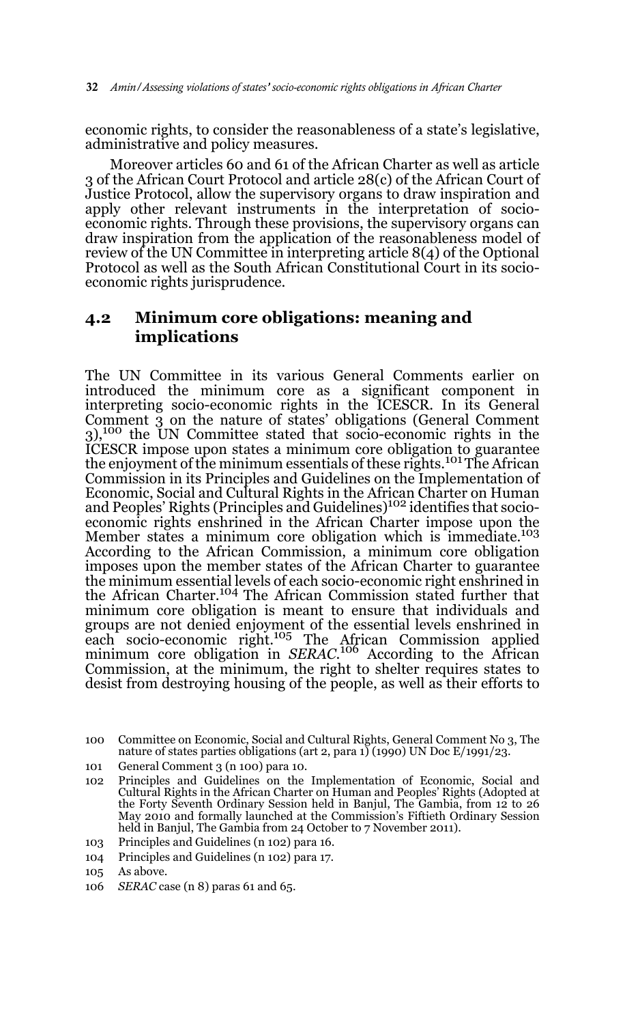economic rights, to consider the reasonableness of a state's legislative, administrative and policy measures.

Moreover articles 60 and 61 of the African Charter as well as article 3 of the African Court Protocol and article 28(c) of the African Court of Justice Protocol, allow the supervisory organs to draw inspiration and apply other relevant instruments in the interpretation of socioeconomic rights. Through these provisions, the supervisory organs can draw inspiration from the application of the reasonableness model of review of the UN Committee in interpreting article 8(4) of the Optional Protocol as well as the South African Constitutional Court in its socioeconomic rights jurisprudence.

## **4.2 Minimum core obligations: meaning and implications**

The UN Committee in its various General Comments earlier on introduced the minimum core as a significant component in interpreting socio-economic rights in the ICESCR. In its General Comment 3 on the nature of states' obligations (General Comment  $3$ ),<sup>100</sup> the UN Committee stated that socio-economic rights in the ICESCR impose upon states a minimum core obligation to guarantee the enjoyment of the minimum essentials of these rights.101 The African Commission in its Principles and Guidelines on the Implementation of Economic, Social and Cultural Rights in the African Charter on Human and Peoples' Rights (Principles and Guidelines)102 identifies that socioeconomic rights enshrined in the African Charter impose upon the Member states a minimum core obligation which is immediate.<sup>103</sup> According to the African Commission, a minimum core obligation imposes upon the member states of the African Charter to guarantee the minimum essential levels of each socio-economic right enshrined in the African Charter.104 The African Commission stated further that minimum core obligation is meant to ensure that individuals and groups are not denied enjoyment of the essential levels enshrined in<br>each socio-economic right.<sup>105</sup> The African Commission applied minimum core obligation in *SERAC*. 106 According to the African Commission, at the minimum, the right to shelter requires states to desist from destroying housing of the people, as well as their efforts to

104 Principles and Guidelines (n 102) para 17.

<sup>100</sup> Committee on Economic, Social and Cultural Rights, General Comment No 3, The nature of states parties obligations (art 2, para 1) (1990) UN Doc E/1991/23.

<sup>101</sup> General Comment 3 (n 100) para 10.

<sup>102</sup> Principles and Guidelines on the Implementation of Economic, Social and Cultural Rights in the African Charter on Human and Peoples' Rights (Adopted at the Forty Seventh Ordinary Session held in Banjul, The Gambia, from 12 to 26 May 2010 and formally launched at the Commission's Fiftieth Ordinary Session held in Banjul, The Gambia from 24 October to 7 November 2011).

<sup>103</sup> Principles and Guidelines (n 102) para 16.

<sup>105</sup> As above.

<sup>106</sup> *SERAC* case (n 8) paras 61 and 65.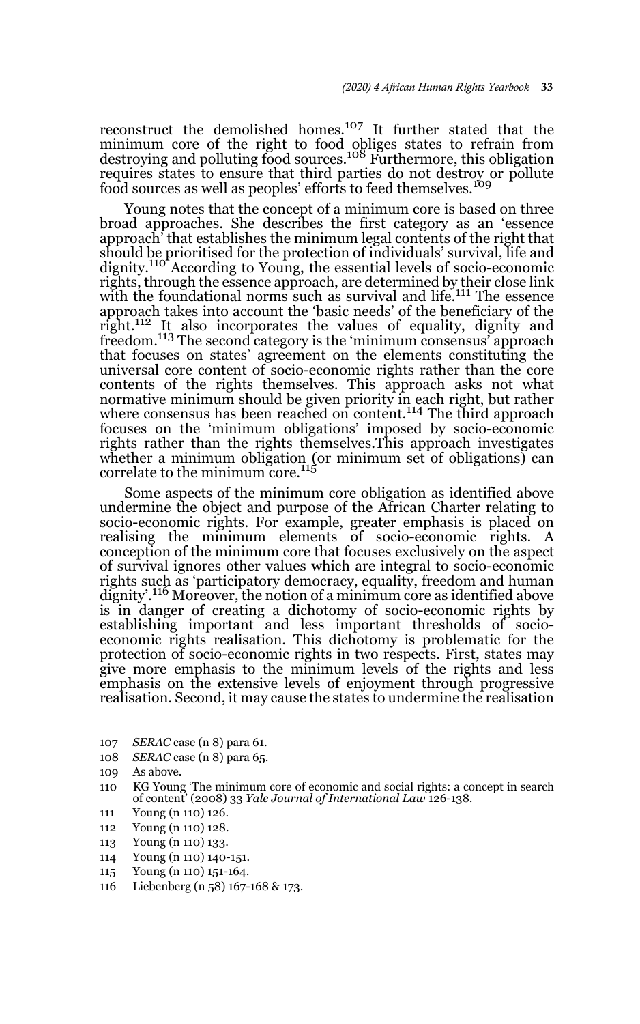reconstruct the demolished homes.107 It further stated that the minimum core of the right to food obliges states to refrain from<br>destroying and polluting food sources.<sup>108</sup> Furthermore, this obligation requires states to ensure that third parties do not destroy or pollute food sources as well as peoples' efforts to feed themselves.<sup>109</sup>

Young notes that the concept of a minimum core is based on three broad approaches. She describes the first category as an 'essence approach' that establishes the minimum legal contents of the right that should be prioritised for the protection of individuals' survival, life and<br>dignity.<sup>110</sup> According to Young, the essential levels of socio-economic rights, through the essence approach, are determined by their close link with the foundational norms such as survival and life.<sup>111</sup> The essence approach takes into account the 'basic needs' of the beneficiary of the right.112 It also incorporates the values of equality, dignity and freedom.<sup>113</sup> The second category is the 'minimum consensus' approach that focuses on states' agreement on the elements constituting the universal core content of socio-economic rights rather than the core contents of the rights themselves. This approach asks not what normative minimum should be given priority in each right, but rather where consensus has been reached on content.<sup>114</sup> The third approach focuses on the 'minimum obligations' imposed by socio-economic rights rather than the rights themselves.This approach investigates whether a minimum obligation (or minimum set of obligations) can<br>correlate to the minimum core.<sup>115</sup>

Some aspects of the minimum core obligation as identified above undermine the object and purpose of the African Charter relating to socio-economic rights. For example, greater emphasis is placed on realising the minimum elements of socio-economic rights. A conception of the minimum core that focuses exclusively on the aspect of survival ignores other values which are integral to socio-economic rights such as 'participatory democracy, equality, freedom and human dignity'.<sup>116</sup> Moreover, the notion of a minimum core as identified above is in danger of creating a dichotomy of socio-economic rights by establishing important and less important thresholds of socioeconomic rights realisation. This dichotomy is problematic for the protection of socio-economic rights in two respects. First, states may give more emphasis to the minimum levels of the rights and less emphasis on the extensive levels of enjoyment through progressive realisation. Second, it may cause the states to undermine the realisation

- 107 *SERAC* case (n 8) para 61.
- 108 *SERAC* case (n 8) para 65.
- 109 As above.
- 110 KG Young 'The minimum core of economic and social rights: a concept in search of content' (2008) 33 *Yale Journal of International Law* 126-138.
- 111 Young (n 110) 126.
- 112 Young (n 110) 128.
- 113 Young (n 110) 133.
- 114 Young (n 110) 140-151.
- 115 Young (n 110) 151-164.
- 116 Liebenberg (n 58) 167-168 & 173.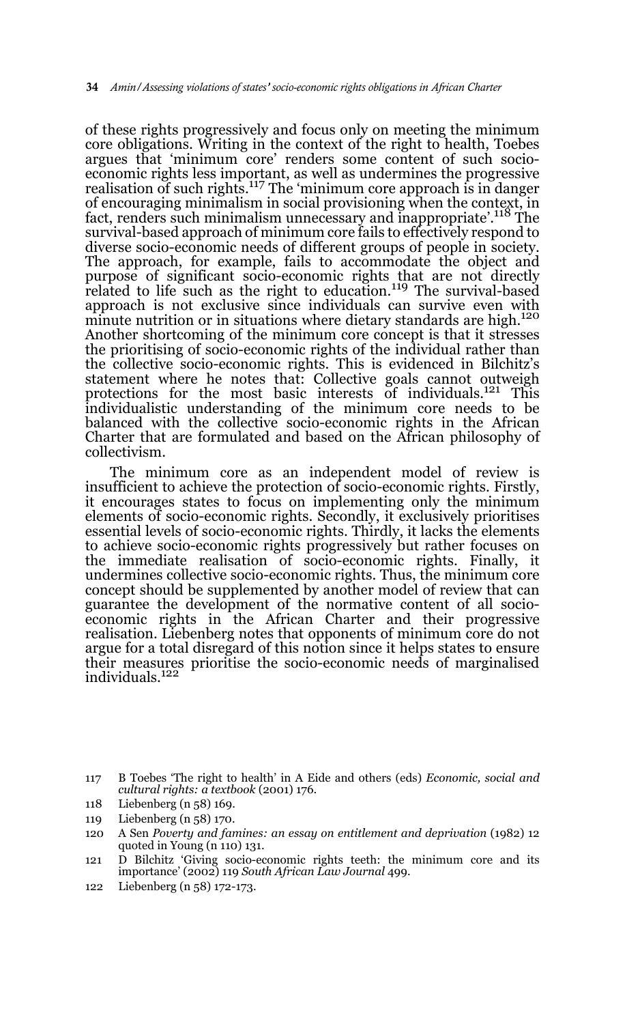of these rights progressively and focus only on meeting the minimum core obligations. Writing in the context of the right to health, Toebes argues that 'minimum core' renders some content of such socioeconomic rights less important, as well as undermines the progressive realisation of such rights.<sup>117</sup> The 'minimum core approach is in danger of encouraging minimalism in social provisioning when the context, in fact, renders such minimalism unnecessary and inappropriate'.118 The survival-based approach of minimum core fails to effectively respond to diverse socio-economic needs of different groups of people in society. The approach, for example, fails to accommodate the object and purpose of significant socio-economic rights that are not directly related to life such as the right to education.<sup>119</sup> The survival-based approach is not exclusive since individuals can survive even with minute nutrition or in situations where dietary standards are high.<sup>120</sup> Another shortcoming of the minimum core concept is that it stresses the prioritising of socio-economic rights of the individual rather than the collective socio-economic rights. This is evidenced in Bilchitz's statement where he notes that: Collective goals cannot outweigh protections for the most basic interests of individuals.<sup>121</sup> This individualistic understanding of the minimum core needs to be balanced with the collective socio-economic rights in the African Charter that are formulated and based on the African philosophy of collectivism.

The minimum core as an independent model of review is insufficient to achieve the protection of socio-economic rights. Firstly, it encourages states to focus on implementing only the minimum elements of socio-economic rights. Secondly, it exclusively prioritises essential levels of socio-economic rights. Thirdly, it lacks the elements to achieve socio-economic rights progressively but rather focuses on the immediate realisation of socio-economic rights. Finally, it undermines collective socio-economic rights. Thus, the minimum core concept should be supplemented by another model of review that can guarantee the development of the normative content of all socioeconomic rights in the African Charter and their progressive realisation. Liebenberg notes that opponents of minimum core do not argue for a total disregard of this notion since it helps states to ensure their measures prioritise the socio-economic needs of marginalised individuals.122

122 Liebenberg (n 58) 172-173.

<sup>117</sup> B Toebes 'The right to health' in A Eide and others (eds) *Economic, social and cultural rights: a textbook* (2001) 176.

<sup>118</sup> Liebenberg (n 58) 169.

<sup>119</sup> Liebenberg (n 58) 170.

<sup>120</sup> A Sen *Poverty and famines: an essay on entitlement and deprivation* (1982) 12 quoted in Young (n 110) 131.

<sup>121</sup> D Bilchitz 'Giving socio-economic rights teeth: the minimum core and its importance' (2002) 119 *South African Law Journal* 499.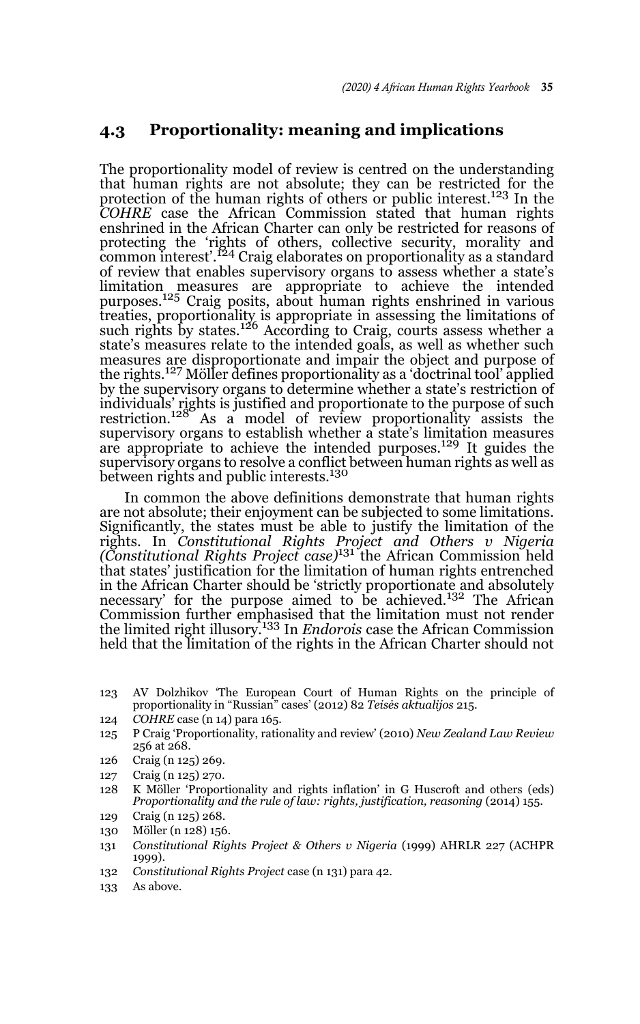### **4.3 Proportionality: meaning and implications**

The proportionality model of review is centred on the understanding that human rights are not absolute; they can be restricted for the protection of the human rights of others or public interest.123 In the *COHRE* case the African Commission stated that human rights enshrined in the African Charter can only be restricted for reasons of protecting the 'rights of others, collective security, morality and<br>common interest'.<sup>124</sup> Craig elaborates on proportionality as a standard of review that enables supervisory organs to assess whether a state's limitation measures are appropriate to achieve the intended purposes.125 Craig posits, about human rights enshrined in various treaties, proportionality is appropriate in assessing the limitations of such rights by states.126 According to Craig, courts assess whether a state's measures relate to the intended goals, as well as whether such measures are disproportionate and impair the object and purpose of the rights.127 Möller defines proportionality as a 'doctrinal tool' applied by the supervisory organs to determine whether a state's restriction of individuals' rights is justified and proportionate to the purpose of such restriction.<sup>128</sup> As a model of review proportionality assists the supervisory organs to establish whether a state's limitation measures are appropriate to achieve the intended purposes.<sup>129</sup> It guides the supervisory organs to resolve a conflict between human rights as well as between rights and public interests.<sup>130</sup>

In common the above definitions demonstrate that human rights are not absolute; their enjoyment can be subjected to some limitations. Significantly, the states must be able to justify the limitation of the rights. In *Constitutional Rights Project and Others v Nigeria (Constitutional Rights Project case)*131 the African Commission held that states' justification for the limitation of human rights entrenched in the African Charter should be 'strictly proportionate and absolutely necessary' for the purpose aimed to be achieved.132 The African Commission further emphasised that the limitation must not render the limited right illusory.133 In *Endorois* case the African Commission held that the limitation of the rights in the African Charter should not

- 123 AV Dolzhikov 'The European Court of Human Rights on the principle of proportionality in "Russian" cases' (2012) 82 *Teisės aktualijos* 215.
- 124 *COHRE* case (n 14) para 165.
- 125 P Craig 'Proportionality, rationality and review' (2010) *New Zealand Law Review* 256 at 268.
- 126 Craig (n 125) 269.
- 127 Craig (n 125) 270.
- 128 K Möller 'Proportionality and rights inflation' in G Huscroft and others (eds) *Proportionality and the rule of law: rights, justification, reasoning* (2014) 155.
- 129 Craig (n 125) 268.
- 130 Möller (n 128) 156.
- 131 *Constitutional Rights Project & Others v Nigeria* (1999) AHRLR 227 (ACHPR 1999).
- 132 *Constitutional Rights Project* case (n 131) para 42.
- 133 As above.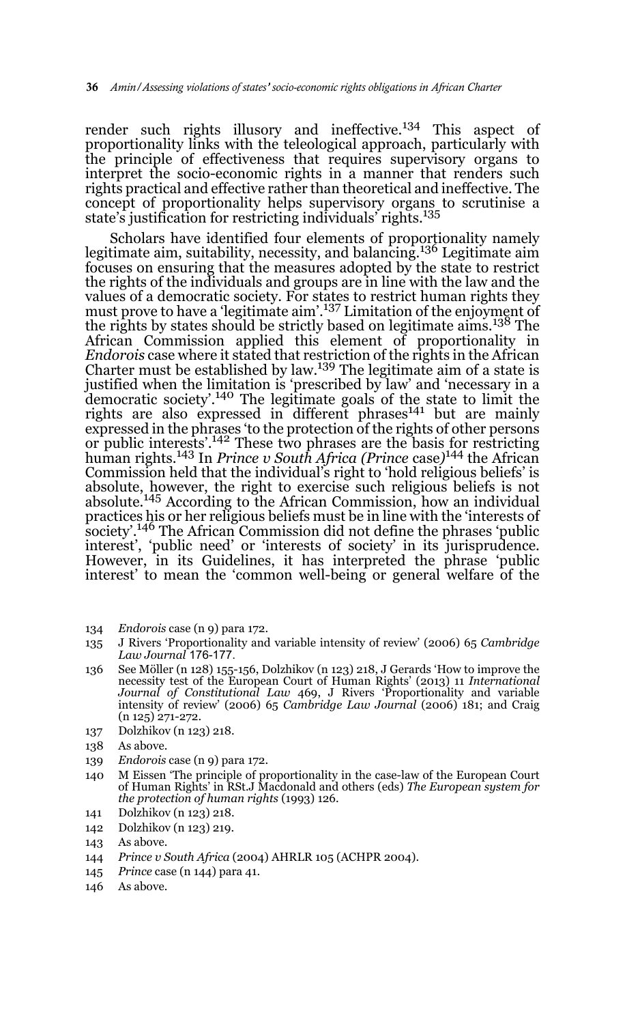render such rights illusory and ineffective.<sup>134</sup> This aspect of proportionality links with the teleological approach, particularly with the principle of effectiveness that requires supervisory organs to interpret the socio-economic rights in a manner that renders such rights practical and effective rather than theoretical and ineffective. The concept of proportionality helps supervisory organs to scrutinise a state's justification for restricting individuals' rights.135

Scholars have identified four elements of proportionality namely legitimate aim, suitability, necessity, and balancing.<sup>136</sup> Legitimate aim focuses on ensuring that the measures adopted by the state to restrict the rights of the individuals and groups are in line with the law and the values of a democratic society. For states to restrict human rights they must prove to have a 'legitimate aim'.<sup>137</sup> Limitation of the enjoyment of the rights by states should be strictly based on legitimate aims.138 The African Commission applied this element of proportionality in *Endorois* case where it stated that restriction of the rights in the African Charter must be established by law.<sup>139</sup> The legitimate aim of a state is justified when the limitation is 'prescribed by law' and 'necessary in a democratic society'.140 The legitimate goals of the state to limit the rights are also expressed in different phrases<sup>141</sup> but are mainly expressed in the phrases 'to the protection of the rights of other persons or public interests'.142 These two phrases are the basis for restricting human rights.143 In *Prince v South Africa (Prince* case*)* 144 the African Commission held that the individual's right to 'hold religious beliefs' is absolute, however, the right to exercise such religious beliefs is not absolute.<sup>145</sup> According to the African Commission, how an individual practices his or her religious beliefs must be in line with the 'interests of society'.146 The African Commission did not define the phrases 'public interest', 'public need' or 'interests of society' in its jurisprudence. However, in its Guidelines, it has interpreted the phrase 'public interest' to mean the 'common well-being or general welfare of the

- 134 *Endorois* case (n 9) para 172.
- 135 J Rivers 'Proportionality and variable intensity of review' (2006) 65 *Cambridge Law Journal* 176-177.
- 136 See Möller (n 128) 155-156, Dolzhikov (n 123) 218, J Gerards 'How to improve the necessity test of the European Court of Human Rights' (2013) 11 *International Journal of Constitutional Law* 469, J Rivers 'Proportionality and variable intensity of review' (2006) 65 *Cambridge Law Journal* (2006) 181; and Craig (n 125) 271-272.
- 137 Dolzhikov (n 123) 218.
- 138 As above.
- 139 *Endorois* case (n 9) para 172.
- 140 M Eissen 'The principle of proportionality in the case-law of the European Court of Human Rights' in RSt.J Macdonald and others (eds) *The European system for the protection of human rights* (1993) 126.
- 141 Dolzhikov (n 123) 218.
- 142 Dolzhikov (n 123) 219.

- 144 *Prince v South Africa* (2004) AHRLR 105 (ACHPR 2004).
- 145 *Prince* case (n 144) para 41.
- 146 As above.

<sup>143</sup> As above.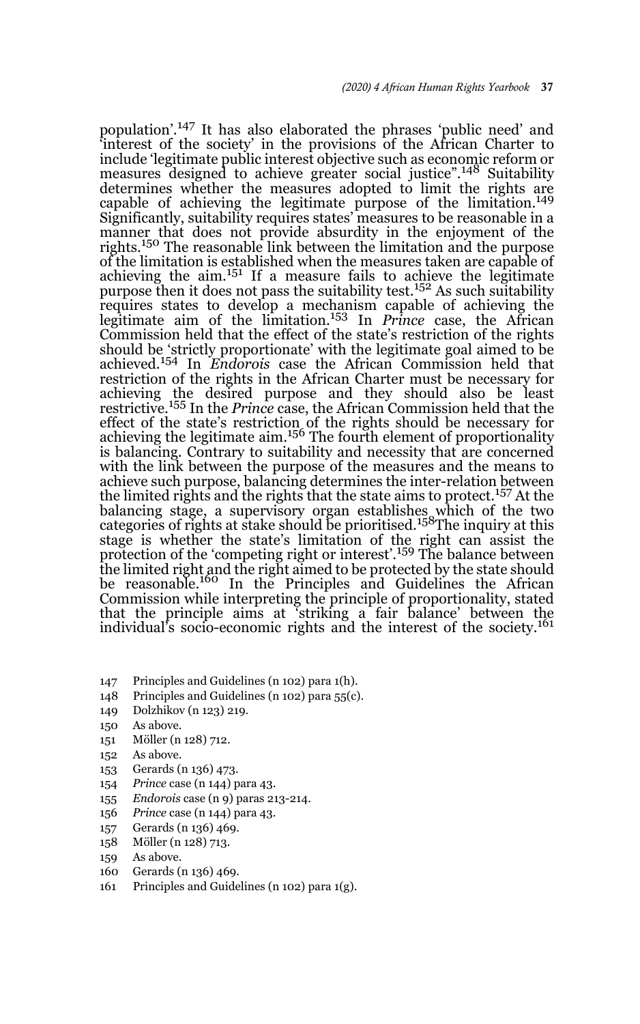population'.147 It has also elaborated the phrases 'public need' and 'interest of the society' in the provisions of the African Charter to include 'legitimate public interest objective such as economic reform or measures designed to achieve greater social justice".<sup>148</sup> Suitability determines whether the measures adopted to limit the rights are capable of achieving the legitimate purpose of the limitation.<sup>149</sup> Significantly, suitability requires states' measures to be reasonable in a manner that does not provide absurdity in the enjoyment of the rights.150 The reasonable link between the limitation and the purpose of the limitation is established when the measures taken are capable of achieving the  $\dim$ ,  $^{151}$  If a measure fails to achieve the legitimate purpose then it does not pass the suitability test.<sup>152</sup> As such suitability requires states to develop a mechanism capable of achieving the legitimate aim of the limitation.153 In *Prince* case, the African Commission held that the effect of the state's restriction of the rights should be 'strictly proportionate' with the legitimate goal aimed to be achieved.154 In *Endorois* case the African Commission held that restriction of the rights in the African Charter must be necessary for achieving the desired purpose and they should also be least restrictive.155 In the *Prince* case, the African Commission held that the effect of the state's restriction of the rights should be necessary for achieving the legitimate aim.<sup>156</sup> The fourth element of proportionality is balancing. Contrary to suitability and necessity that are concerned with the link between the purpose of the measures and the means to achieve such purpose, balancing determines the inter-relation between the limited rights and the rights that the state aims to protect.<sup>157</sup> At the balancing stage, a supervisory organ establishes which of the two categories of rights at stake should be prioritised.158The inquiry at this stage is whether the state's limitation of the right can assist the protection of the 'competing right or interest'.<sup>159</sup> The balance between the limited right and the right aimed to be protected by the state should be reasonable.<sup>160</sup> In the Principles and Guidelines the African Commission while interpreting the principle of proportionality, stated that the principle aims at 'striking a fair balance' between the individual's socio-economic rights and the interest of the society.<sup>161</sup>

- 147 Principles and Guidelines (n 102) para 1(h).
- 148 Principles and Guidelines (n 102) para 55(c).
- 149 Dolzhikov (n 123) 219.
- 150 As above.
- 151 Möller (n 128) 712.
- 152 As above.
- 153 Gerards (n 136) 473.
- 154 *Prince* case (n 144) para 43.
- 155 *Endorois* case (n 9) paras 213-214.
- 156 *Prince* case (n 144) para 43.
- 157 Gerards (n 136) 469.
- 158 Möller (n 128) 713.
- 159 As above.
- 160 Gerards (n 136) 469.
- 161 Principles and Guidelines (n 102) para 1(g).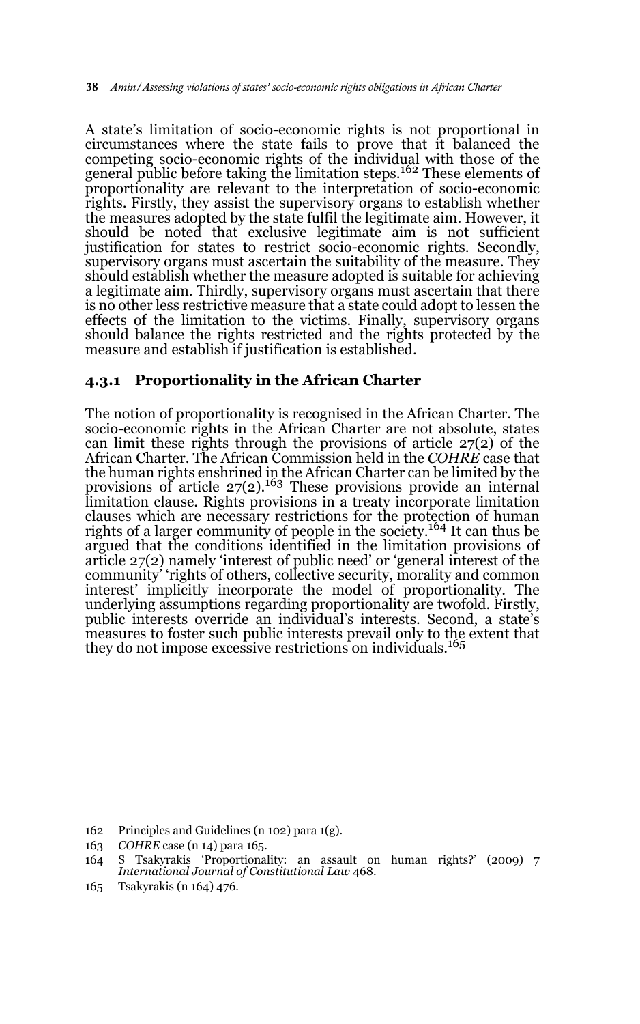A state's limitation of socio-economic rights is not proportional in circumstances where the state fails to prove that it balanced the competing socio-economic rights of the individual with those of the general public before taking the limitation steps.<sup>162</sup> These elements of proportionality are relevant to the interpretation of socio-economic rights. Firstly, they assist the supervisory organs to establish whether the measures adopted by the state fulfil the legitimate aim. However, it should be noted that exclusive legitimate aim is not sufficient justification for states to restrict socio-economic rights. Secondly, supervisory organs must ascertain the suitability of the measure. They should establish whether the measure adopted is suitable for achieving a legitimate aim. Thirdly, supervisory organs must ascertain that there is no other less restrictive measure that a state could adopt to lessen the effects of the limitation to the victims. Finally, supervisory organs should balance the rights restricted and the rights protected by the measure and establish if justification is established.

### **4.3.1 Proportionality in the African Charter**

The notion of proportionality is recognised in the African Charter. The socio-economic rights in the African Charter are not absolute, states can limit these rights through the provisions of article 27(2) of the African Charter. The African Commission held in the *COHRE* case that the human rights enshrined in the African Charter can be limited by the provisions of article  $27(2)$ .<sup>163</sup> These provisions provide an internal limitation clause. Rights provisions in a treaty incorporate limitation clauses which are necessary restrictions for the protection of human rights of a larger community of people in the society.164 It can thus be argued that the conditions identified in the limitation provisions of article 27(2) namely 'interest of public need' or 'general interest of the community' 'rights of others, collective security, morality and common interest' implicitly incorporate the model of proportionality. The underlying assumptions regarding proportionality are twofold. Firstly, public interests override an individual's interests. Second, a state's measures to foster such public interests prevail only to the extent that they do not impose excessive restrictions on individuals.<sup>165</sup>

165 Tsakyrakis (n 164) 476.

<sup>162</sup> Principles and Guidelines (n 102) para 1(g).

<sup>163</sup> *COHRE* case (n 14) para 165.

<sup>164</sup> S Tsakyrakis 'Proportionality: an assault on human rights?' (2009) 7 *International Journal of Constitutional Law* 468.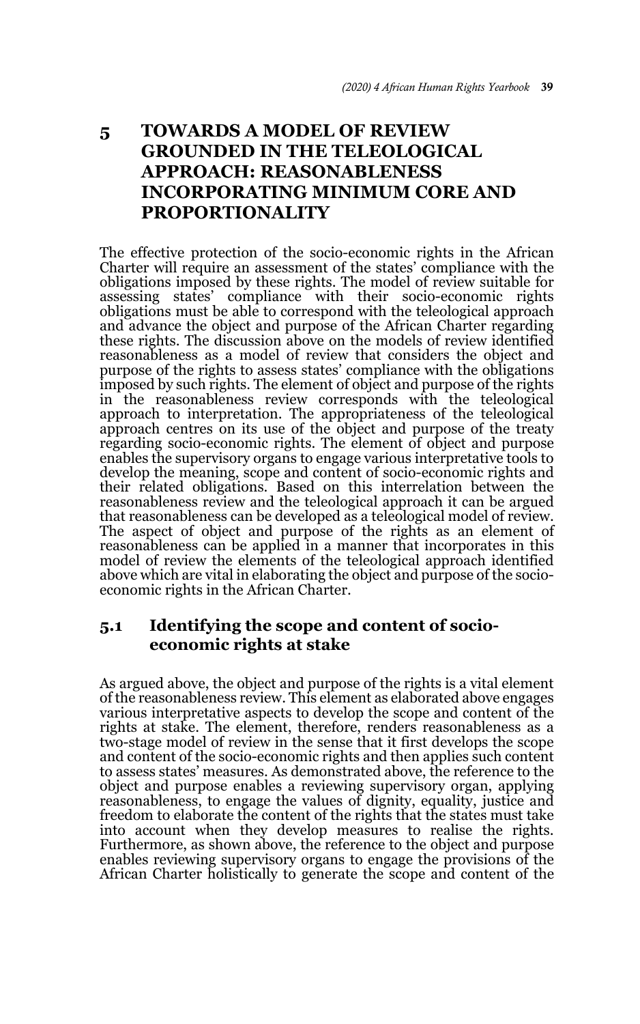# **5 TOWARDS A MODEL OF REVIEW GROUNDED IN THE TELEOLOGICAL APPROACH: REASONABLENESS INCORPORATING MINIMUM CORE AND PROPORTIONALITY**

The effective protection of the socio-economic rights in the African Charter will require an assessment of the states' compliance with the obligations imposed by these rights. The model of review suitable for assessing states' compliance with their socio-economic rights obligations must be able to correspond with the teleological approach and advance the object and purpose of the African Charter regarding these rights. The discussion above on the models of review identified reasonableness as a model of review that considers the object and purpose of the rights to assess states' compliance with the obligations imposed by such rights. The element of object and purpose of the rights in the reasonableness review corresponds with the teleological approach to interpretation. The appropriateness of the teleological approach centres on its use of the object and purpose of the treaty regarding socio-economic rights. The element of object and purpose enables the supervisory organs to engage various interpretative tools to develop the meaning, scope and content of socio-economic rights and their related obligations. Based on this interrelation between the reasonableness review and the teleological approach it can be argued that reasonableness can be developed as a teleological model of review. The aspect of object and purpose of the rights as an element of reasonableness can be applied in a manner that incorporates in this model of review the elements of the teleological approach identified above which are vital in elaborating the object and purpose of the socioeconomic rights in the African Charter.

# **5.1 Identifying the scope and content of socioeconomic rights at stake**

As argued above, the object and purpose of the rights is a vital element of the reasonableness review. This element as elaborated above engages various interpretative aspects to develop the scope and content of the rights at stake. The element, therefore, renders reasonableness as a two-stage model of review in the sense that it first develops the scope and content of the socio-economic rights and then applies such content to assess states' measures. As demonstrated above, the reference to the object and purpose enables a reviewing supervisory organ, applying reasonableness, to engage the values of dignity, equality, justice and freedom to elaborate the content of the rights that the states must take into account when they develop measures to realise the rights. Furthermore, as shown above, the reference to the object and purpose enables reviewing supervisory organs to engage the provisions of the African Charter holistically to generate the scope and content of the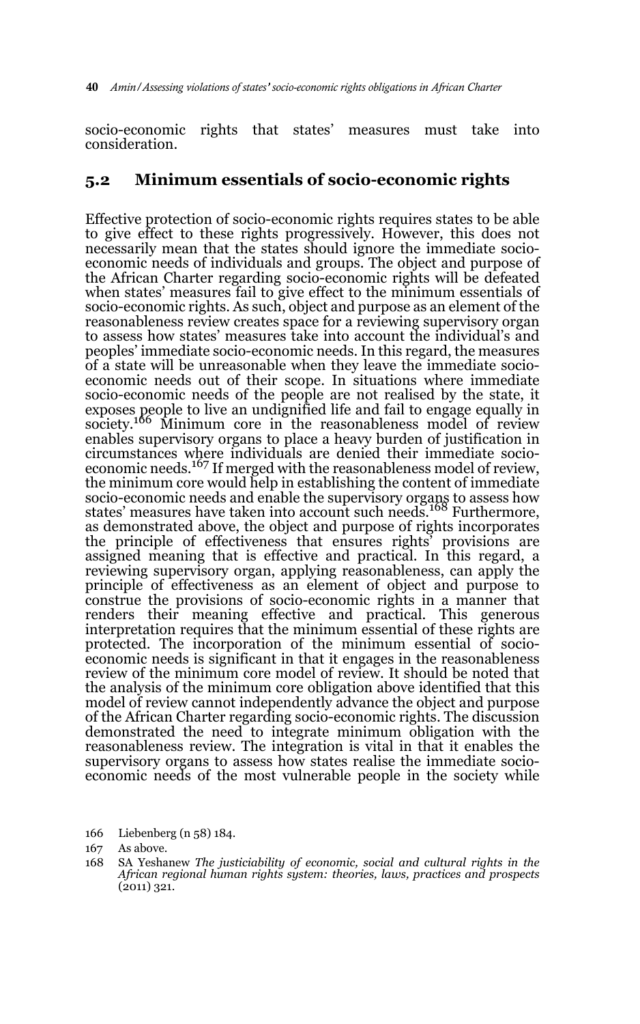socio-economic rights that states' measures must take into consideration.

### **5.2 Minimum essentials of socio-economic rights**

Effective protection of socio-economic rights requires states to be able to give effect to these rights progressively. However, this does not necessarily mean that the states should ignore the immediate socioeconomic needs of individuals and groups. The object and purpose of the African Charter regarding socio-economic rights will be defeated when states' measures fail to give effect to the minimum essentials of socio-economic rights. As such, object and purpose as an element of the reasonableness review creates space for a reviewing supervisory organ to assess how states' measures take into account the individual's and peoples' immediate socio-economic needs. In this regard, the measures of a state will be unreasonable when they leave the immediate socioeconomic needs out of their scope. In situations where immediate socio-economic needs of the people are not realised by the state, it exposes people to live an undignified life and fail to engage equally in society.<sup>166</sup> Minimum core in the reasonableness model of review enables supervisory organs to place a heavy burden of justification in circumstances where individuals are denied their immediate socioeconomic needs.167 If merged with the reasonableness model of review, the minimum core would help in establishing the content of immediate socio-economic needs and enable the supervisory organs to assess how<br>states' measures have taken into account such needs.<sup>168</sup> Furthermore, as demonstrated above, the object and purpose of rights incorporates the principle of effectiveness that ensures rights' provisions are assigned meaning that is effective and practical. In this regard, a reviewing supervisory organ, applying reasonableness, can apply the principle of effectiveness as an element of object and purpose to construe the provisions of socio-economic rights in a manner that renders their meaning effective and practical. This generous interpretation requires that the minimum essential of these rights are protected. The incorporation of the minimum essential of socioeconomic needs is significant in that it engages in the reasonableness review of the minimum core model of review. It should be noted that the analysis of the minimum core obligation above identified that this model of review cannot independently advance the object and purpose of the African Charter regarding socio-economic rights. The discussion demonstrated the need to integrate minimum obligation with the reasonableness review. The integration is vital in that it enables the supervisory organs to assess how states realise the immediate socioeconomic needs of the most vulnerable people in the society while

<sup>166</sup> Liebenberg (n 58) 184.

<sup>167</sup> As above.

<sup>168</sup> SA Yeshanew *The justiciability of economic, social and cultural rights in the African regional human rights system: theories, laws, practices and prospects*  $(2011)$  321.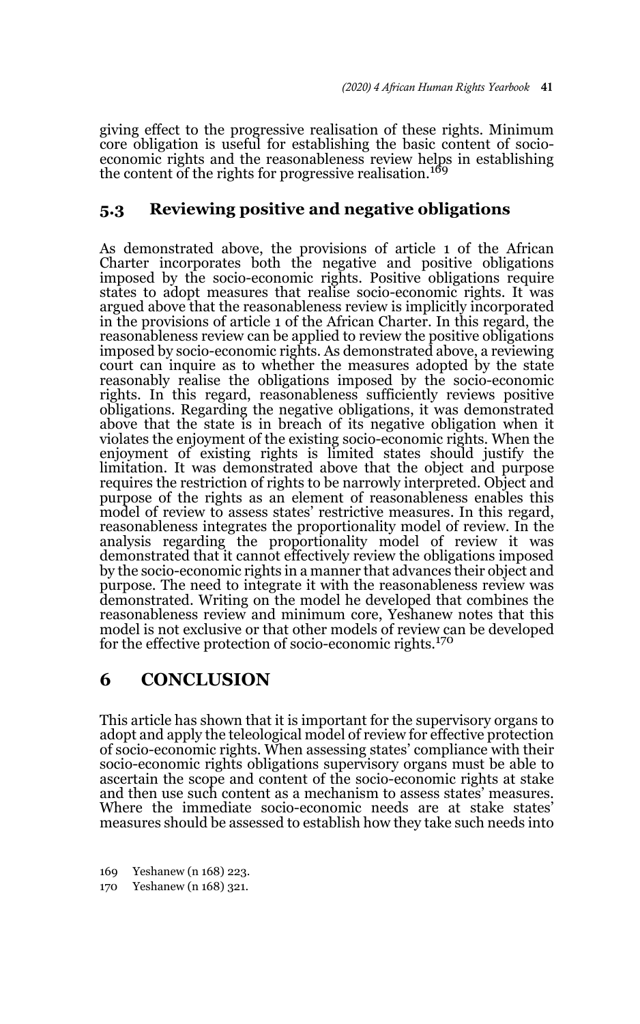giving effect to the progressive realisation of these rights. Minimum core obligation is useful for establishing the basic content of socioeconomic rights and the reasonableness review helps in establishing the content of the rights for progressive realisation.<sup>169</sup>

# **5.3 Reviewing positive and negative obligations**

As demonstrated above, the provisions of article 1 of the African Charter incorporates both the negative and positive obligations imposed by the socio-economic rights. Positive obligations require states to adopt measures that realise socio-economic rights. It was argued above that the reasonableness review is implicitly incorporated in the provisions of article 1 of the African Charter. In this regard, the reasonableness review can be applied to review the positive obligations imposed by socio-economic rights. As demonstrated above, a reviewing court can inquire as to whether the measures adopted by the state reasonably realise the obligations imposed by the socio-economic rights. In this regard, reasonableness sufficiently reviews positive obligations. Regarding the negative obligations, it was demonstrated above that the state is in breach of its negative obligation when it violates the enjoyment of the existing socio-economic rights. When the enjoyment of existing rights is limited states should justify the limitation. It was demonstrated above that the object and purpose requires the restriction of rights to be narrowly interpreted. Object and purpose of the rights as an element of reasonableness enables this model of review to assess states' restrictive measures. In this regard, reasonableness integrates the proportionality model of review. In the analysis regarding the proportionality model of review it was demonstrated that it cannot effectively review the obligations imposed by the socio-economic rights in a manner that advances their object and purpose. The need to integrate it with the reasonableness review was demonstrated. Writing on the model he developed that combines the reasonableness review and minimum core, Yeshanew notes that this model is not exclusive or that other models of review can be developed for the effective protection of socio-economic rights.<sup>170</sup>

# **6 CONCLUSION**

This article has shown that it is important for the supervisory organs to adopt and apply the teleological model of review for effective protection of socio-economic rights. When assessing states' compliance with their socio-economic rights obligations supervisory organs must be able to ascertain the scope and content of the socio-economic rights at stake and then use such content as a mechanism to assess states' measures. Where the immediate socio-economic needs are at stake states' measures should be assessed to establish how they take such needs into

<sup>169</sup> Yeshanew (n 168) 223.

<sup>170</sup> Yeshanew (n 168) 321.